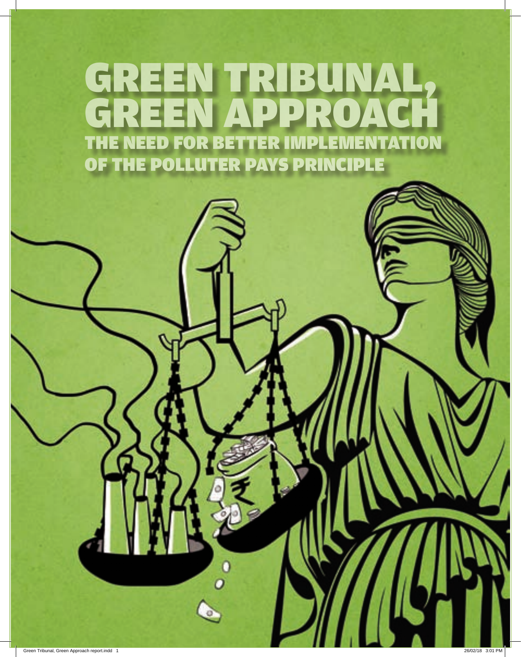# GREEN TRIBUNA GREEN APPR THE NEED FOR BETTER IMPLEMENTATION OF THE POLLUTER PAYS PRINCIPLE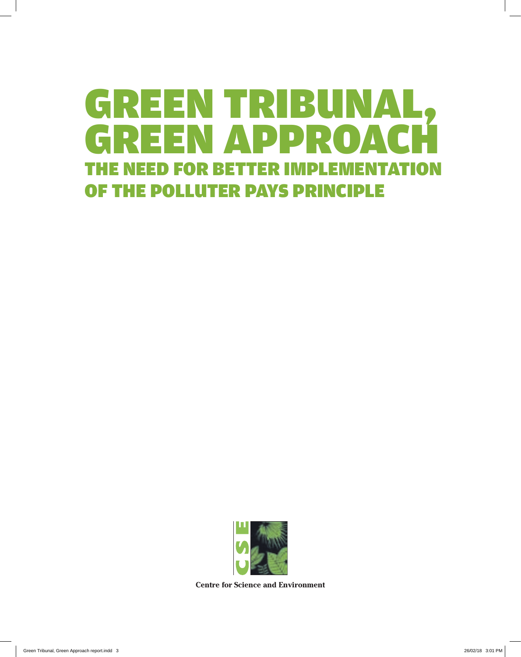# GREEN TRIBUNAL, GREEN APPROACH THE NEED FOR BETTER IMPLEMENTATION OF THE POLLUTER PAYS PRINCIPLE



**Centre for Science and Environment**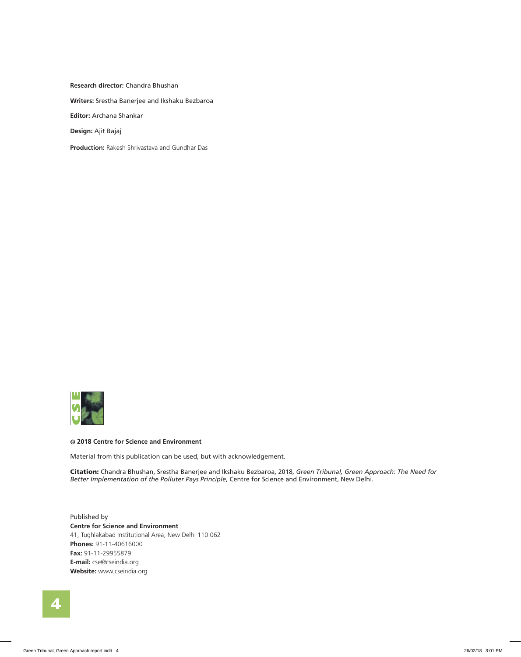**Research director:** Chandra Bhushan **Writers:** Srestha Banerjee and Ikshaku Bezbaroa **Editor:** Archana Shankar **Design:** Ajit Bajaj

**Production:** Rakesh Shrivastava and Gundhar Das



#### **© 2018 Centre for Science and Environment**

Material from this publication can be used, but with acknowledgement.

Citation: Chandra Bhushan, Srestha Banerjee and Ikshaku Bezbaroa, 2018, *Green Tribunal, Green Approach: The Need for Better Implementation of the Polluter Pays Principle*, Centre for Science and Environment, New Delhi.

Published by **Centre for Science and Environment** 41, Tughlakabad Institutional Area, New Delhi 110 062 **Phones:** 91-11-40616000 **Fax:** 91-11-29955879 **E-mail:** cse@cseindia.org **Website:** www.cseindia.org

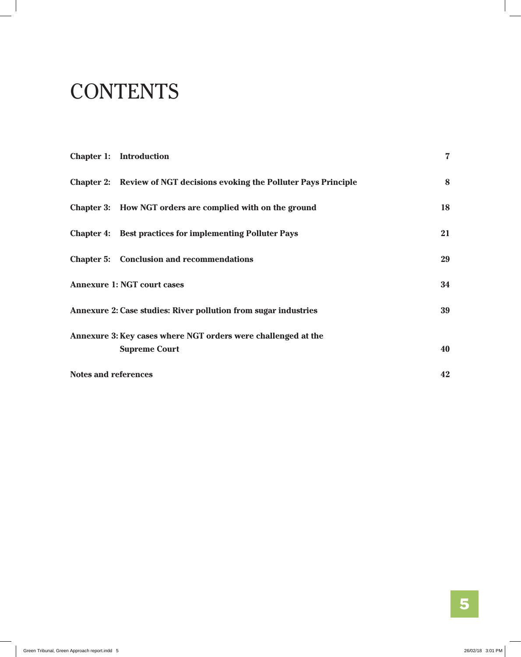## **CONTENTS**

|                             | <b>Chapter 1: Introduction</b>                                                | $\overline{7}$ |
|-----------------------------|-------------------------------------------------------------------------------|----------------|
|                             | <b>Chapter 2:</b> Review of NGT decisions evoking the Polluter Pays Principle | 8              |
|                             | Chapter 3: How NGT orders are complied with on the ground                     | 18             |
|                             | <b>Chapter 4: Best practices for implementing Polluter Pays</b>               | 21             |
|                             | <b>Chapter 5: Conclusion and recommendations</b>                              | 29             |
|                             | <b>Annexure 1: NGT court cases</b>                                            | 34             |
|                             | Annexure 2: Case studies: River pollution from sugar industries               | 39             |
|                             | Annexure 3: Key cases where NGT orders were challenged at the                 |                |
|                             | <b>Supreme Court</b>                                                          | 40             |
| <b>Notes and references</b> |                                                                               | 42             |

5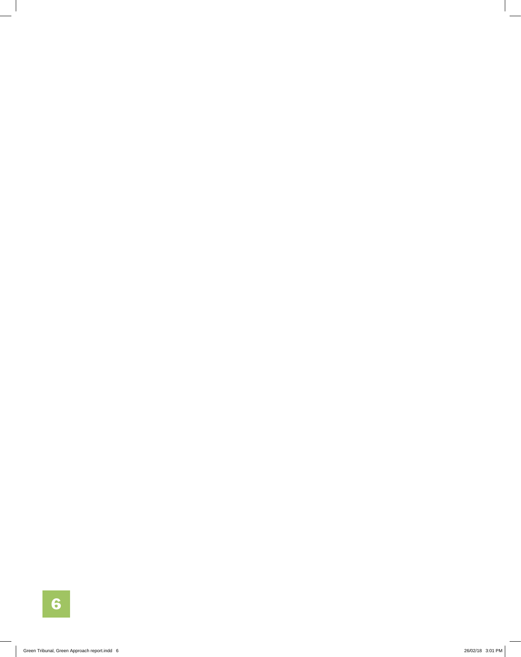$\mathbb{R}^2$ 

 $\overline{\phantom{a}}$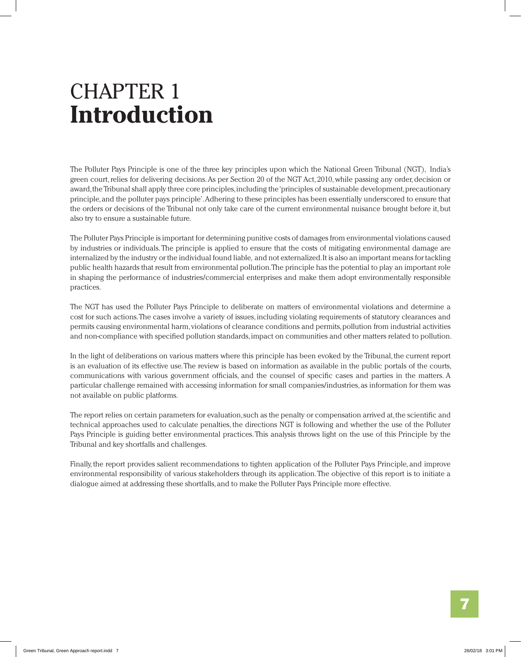## CHAPTER 1 **Introduction**

The Polluter Pays Principle is one of the three key principles upon which the National Green Tribunal (NGT), India's green court, relies for delivering decisions. As per Section 20 of the NGT Act, 2010, while passing any order, decision or award, the Tribunal shall apply three core principles, including the 'principles of sustainable development, precautionary principle, and the polluter pays principle'. Adhering to these principles has been essentially underscored to ensure that the orders or decisions of the Tribunal not only take care of the current environmental nuisance brought before it, but also try to ensure a sustainable future.

The Polluter Pays Principle is important for determining punitive costs of damages from environmental violations caused by industries or individuals. The principle is applied to ensure that the costs of mitigating environmental damage are internalized by the industry or the individual found liable, and not externalized. It is also an important means for tackling public health hazards that result from environmental pollution. The principle has the potential to play an important role in shaping the performance of industries/commercial enterprises and make them adopt environmentally responsible practices.

The NGT has used the Polluter Pays Principle to deliberate on matters of environmental violations and determine a cost for such actions. The cases involve a variety of issues, including violating requirements of statutory clearances and permits causing environmental harm, violations of clearance conditions and permits, pollution from industrial activities and non-compliance with specified pollution standards, impact on communities and other matters related to pollution.

In the light of deliberations on various matters where this principle has been evoked by the Tribunal, the current report is an evaluation of its effective use. The review is based on information as available in the public portals of the courts, communications with various government officials, and the counsel of specific cases and parties in the matters. A particular challenge remained with accessing information for small companies/industries, as information for them was not available on public platforms.

The report relies on certain parameters for evaluation, such as the penalty or compensation arrived at, the scientific and technical approaches used to calculate penalties, the directions NGT is following and whether the use of the Polluter Pays Principle is guiding better environmental practices. This analysis throws light on the use of this Principle by the Tribunal and key shortfalls and challenges.

Finally, the report provides salient recommendations to tighten application of the Polluter Pays Principle, and improve environmental responsibility of various stakeholders through its application. The objective of this report is to initiate a dialogue aimed at addressing these shortfalls, and to make the Polluter Pays Principle more effective.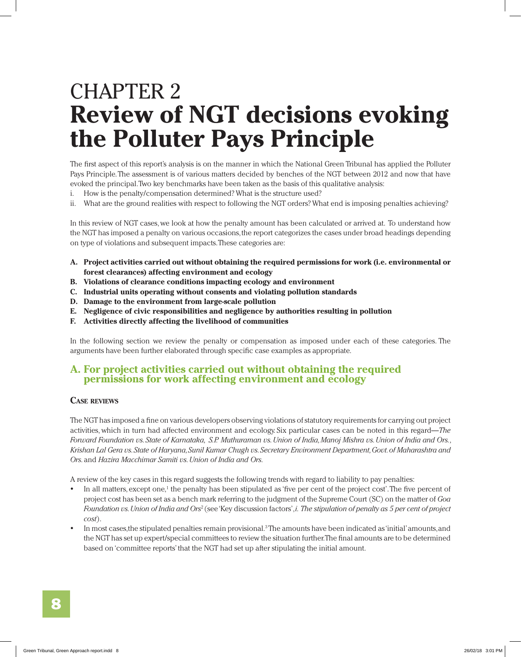## CHAPTER 2 **Review of NGT decisions evoking the Polluter Pays Principle**

The first aspect of this report's analysis is on the manner in which the National Green Tribunal has applied the Polluter Pays Principle. The assessment is of various matters decided by benches of the NGT between 2012 and now that have evoked the principal. Two key benchmarks have been taken as the basis of this qualitative analysis:

- i. How is the penalty/compensation determined? What is the structure used?
- ii. What are the ground realities with respect to following the NGT orders? What end is imposing penalties achieving?

In this review of NGT cases, we look at how the penalty amount has been calculated or arrived at. To understand how the NGT has imposed a penalty on various occasions, the report categorizes the cases under broad headings depending on type of violations and subsequent impacts. These categories are:

- **A. Project activities carried out without obtaining the required permissions for work (i.e. environmental or forest clearances) affecting environment and ecology**
- **B. Violations of clearance conditions impacting ecology and environment**
- **C. Industrial units operating without consents and violating pollution standards**
- **D. Damage to the environment from large-scale pollution**
- **E. Negligence of civic responsibilities and negligence by authorities resulting in pollution**
- **F. Activities directly affecting the livelihood of communities**

In the following section we review the penalty or compensation as imposed under each of these categories. The arguments have been further elaborated through specific case examples as appropriate.

## **A. For project activities carried out without obtaining the required permissions for work affecting environment and ecology**

#### **Case reviews**

The NGT has imposed a fine on various developers observing violations of statutory requirements for carrying out project activities, which in turn had affected environment and ecology. Six particular cases can be noted in this regard—*The Forward Foundation vs. State of Karnataka, S.P. Muthuraman vs. Union of India, Manoj Mishra vs. Union of India and Ors., Krishan Lal Gera vs. State of Haryana, Sunil Kumar Chugh vs. Secretary Environment Department, Govt. of Maharashtra and Ors.* and *Hazira Macchimar Samiti vs. Union of India and Ors.* 

A review of the key cases in this regard suggests the following trends with regard to liability to pay penalties:

- In all matters, except one,<sup>1</sup> the penalty has been stipulated as 'five per cent of the project cost'. The five percent of project cost has been set as a bench mark referring to the judgment of the Supreme Court (SC) on the matter of *Goa Foundation vs. Union of India and Ors*2 (see 'Key discussion factors', *i. The stipulation of penalty as 5 per cent of project cost*).
- In most cases, the stipulated penalties remain provisional.<sup>3</sup> The amounts have been indicated as 'initial' amounts, and the NGT has set up expert/special committees to review the situation further. The final amounts are to be determined based on 'committee reports' that the NGT had set up after stipulating the initial amount.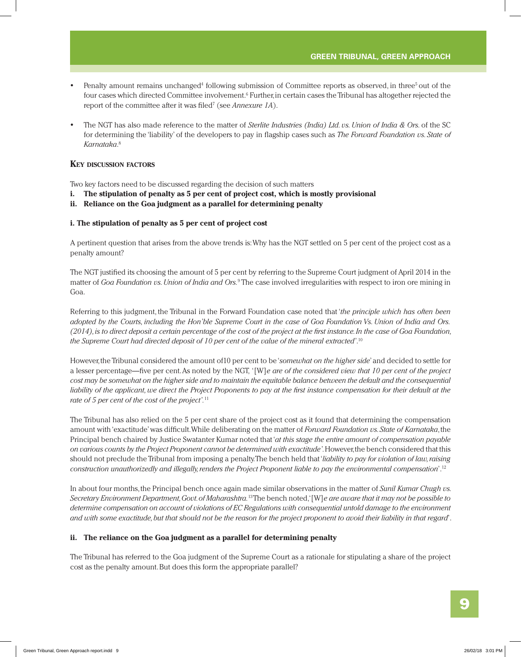- Penalty amount remains unchanged<sup>4</sup> following submission of Committee reports as observed, in three<sup>5</sup> out of the four cases which directed Committee involvement.<sup>6</sup> Further, in certain cases the Tribunal has altogether rejected the report of the committee after it was filed<sup>7</sup> (see *Annexure 1A*).
- The NGT has also made reference to the matter of *Sterlite Industries (India) Ltd. vs. Union of India & Ors.* of the SC for determining the 'liability' of the developers to pay in flagship cases such as *The Forward Foundation vs. State of Karnataka*. 8

#### **Key discussion factors**

Two key factors need to be discussed regarding the decision of such matters

- **i. The stipulation of penalty as 5 per cent of project cost, which is mostly provisional**
- **ii. Reliance on the Goa judgment as a parallel for determining penalty**

#### **i. The stipulation of penalty as 5 per cent of project cost**

A pertinent question that arises from the above trends is: Why has the NGT settled on 5 per cent of the project cost as a penalty amount?

The NGT justified its choosing the amount of 5 per cent by referring to the Supreme Court judgment of April 2014 in the matter of *Goa Foundation vs. Union of India and Ors*.<sup>9</sup> The case involved irregularities with respect to iron ore mining in Goa.

Referring to this judgment, the Tribunal in the Forward Foundation case noted that '*the principle which has often been adopted by the Courts, including the Hon'ble Supreme Court in the case of Goa Foundation Vs. Union of India and Ors. (2014), is to direct deposit a certain percentage of the cost of the project at the first instance. In the case of Goa Foundation, the Supreme Court had directed deposit of 10 per cent of the value of the mineral extracted'*. 10

However, the Tribunal considered the amount of10 per cent to be '*somewhat on the higher side*' and decided to settle for a lesser percentage—five per cent. As noted by the NGT, '[W]*e are of the considered view that 10 per cent of the project cost may be somewhat on the higher side and to maintain the equitable balance between the default and the consequential liability of the applicant, we direct the Project Proponents to pay at the first instance compensation for their default at the rate of 5 per cent of the cost of the project'.*<sup>11</sup>

The Tribunal has also relied on the 5 per cent share of the project cost as it found that determining the compensation amount with 'exactitude' was difficult. While deliberating on the matter of *Forward Foundation vs. State of Karnataka*, the Principal bench chaired by Justice Swatanter Kumar noted that '*at this stage the entire amount of compensation payable on various counts by the Project Proponent cannot be determined with exactitude'.* However, the bench considered that this should not preclude the Tribunal from imposing a penalty. The bench held that '*liability to pay for violation of law, raising construction unauthorizedly and illegally, renders the Project Proponent liable to pay the environmental compensation*'.12

In about four months, the Principal bench once again made similar observations in the matter of *Sunil Kumar Chugh vs. Secretary Environment Department, Govt. of Maharashtra.*13 The bench noted, '[W]*e are aware that it may not be possible to determine compensation on account of violations of EC Regulations with consequential untold damage to the environment and with some exactitude, but that should not be the reason for the project proponent to avoid their liability in that regard*'.

#### **ii. The reliance on the Goa judgment as a parallel for determining penalty**

The Tribunal has referred to the Goa judgment of the Supreme Court as a rationale for stipulating a share of the project cost as the penalty amount. But does this form the appropriate parallel?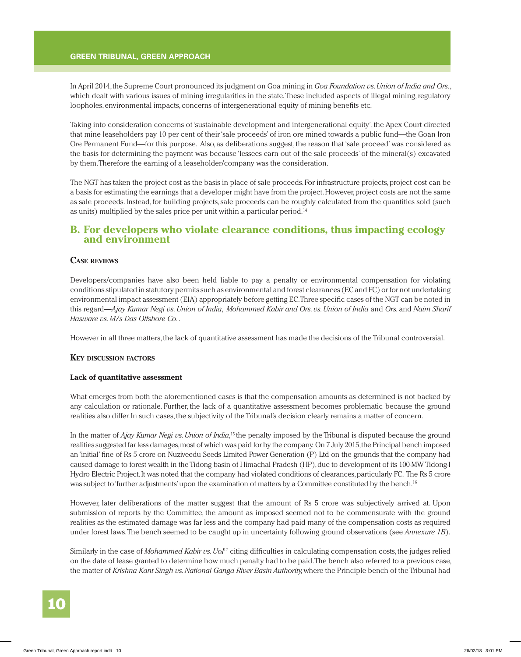In April 2014, the Supreme Court pronounced its judgment on Goa mining in *Goa Foundation vs. Union of India and Ors.*, which dealt with various issues of mining irregularities in the state. These included aspects of illegal mining, regulatory loopholes, environmental impacts, concerns of intergenerational equity of mining benefits etc.

Taking into consideration concerns of 'sustainable development and intergenerational equity', the Apex Court directed that mine leaseholders pay 10 per cent of their 'sale proceeds' of iron ore mined towards a public fund—the Goan Iron Ore Permanent Fund—for this purpose. Also, as deliberations suggest, the reason that 'sale proceed' was considered as the basis for determining the payment was because 'lessees earn out of the sale proceeds' of the mineral(s) excavated by them. Therefore the earning of a leaseholder/company was the consideration.

The NGT has taken the project cost as the basis in place of sale proceeds. For infrastructure projects, project cost can be a basis for estimating the earnings that a developer might have from the project. However, project costs are not the same as sale proceeds. Instead, for building projects, sale proceeds can be roughly calculated from the quantities sold (such as units) multiplied by the sales price per unit within a particular period.<sup>14</sup>

### **B. For developers who violate clearance conditions, thus impacting ecology and environment**

#### **Case reviews**

Developers/companies have also been held liable to pay a penalty or environmental compensation for violating conditions stipulated in statutory permits such as environmental and forest clearances (EC and FC) or for not undertaking environmental impact assessment (EIA) appropriately before getting EC. Three specific cases of the NGT can be noted in this regard—*Ajay Kumar Negi vs. Union of India*, *Mohammed Kabir and Ors. vs. Union of India* and *Ors.* and *Naim Sharif Hasware vs. M/s Das Offshore Co.* .

However in all three matters, the lack of quantitative assessment has made the decisions of the Tribunal controversial.

#### **Key discussion factors**

#### **Lack of quantitative assessment**

What emerges from both the aforementioned cases is that the compensation amounts as determined is not backed by any calculation or rationale. Further, the lack of a quantitative assessment becomes problematic because the ground realities also differ. In such cases, the subjectivity of the Tribunal's decision clearly remains a matter of concern.

In the matter of *Ajay Kumar Negi vs. Union of India*,<sup>15</sup> the penalty imposed by the Tribunal is disputed because the ground realities suggested far less damages, most of which was paid for by the company. On 7 July 2015, the Principal bench imposed an 'initial' fine of Rs 5 crore on Nuziveedu Seeds Limited Power Generation (P) Ltd on the grounds that the company had caused damage to forest wealth in the Tidong basin of Himachal Pradesh (HP), due to development of its 100-MW Tidong-I Hydro Electric Project. It was noted that the company had violated conditions of clearances, particularly FC. The Rs 5 crore was subject to 'further adjustments' upon the examination of matters by a Committee constituted by the bench.<sup>16</sup>

However, later deliberations of the matter suggest that the amount of Rs 5 crore was subjectively arrived at. Upon submission of reports by the Committee, the amount as imposed seemed not to be commensurate with the ground realities as the estimated damage was far less and the company had paid many of the compensation costs as required under forest laws. The bench seemed to be caught up in uncertainty following ground observations (see *Annexure 1B*).

Similarly in the case of *Mohammed Kabir vs. UoI*<sup>17</sup> citing difficulties in calculating compensation costs, the judges relied on the date of lease granted to determine how much penalty had to be paid. The bench also referred to a previous case, the matter of *Krishna Kant Singh vs. National Ganga River Basin Authority,* where the Principle bench of the Tribunal had

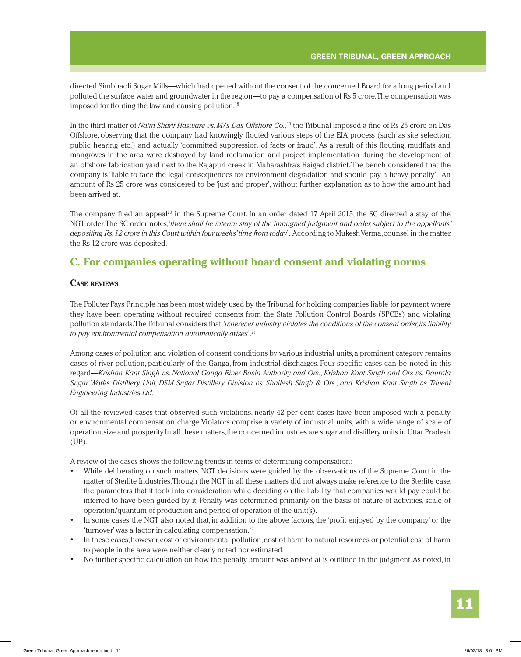directed Simbhaoli Sugar Mills—which had opened without the consent of the concerned Board for a long period and polluted the surface water and groundwater in the region—to pay a compensation of Rs 5 crore. The compensation was imposed for flouting the law and causing pollution.<sup>18</sup>

In the third matter of *Naim Sharif Hasware vs. M/s Das Offshore Co.,*<sup>19</sup> the Tribunal imposed a fine of Rs 25 crore on Das Offshore, observing that the company had knowingly flouted various steps of the EIA process (such as site selection, public hearing etc.) and actually 'committed suppression of facts or fraud'. As a result of this flouting, mudflats and mangroves in the area were destroyed by land reclamation and project implementation during the development of an offshore fabrication yard next to the Rajapuri creek in Maharashtra's Raigad district. The bench considered that the company is 'liable to face the legal consequences for environment degradation and should pay a heavy penalty'. An amount of Rs 25 crore was considered to be 'just and proper', without further explanation as to how the amount had been arrived at.

The company filed an appeal<sup>20</sup> in the Supreme Court. In an order dated 17 April 2015, the SC directed a stay of the NGT order. The SC order notes, '*there shall be interim stay of the impugned judgment and order, subject to the appellants' depositing Rs. 12 crore in this Court within four weeks' time from today*'. According to Mukesh Verma, counsel in the matter, the Rs 12 crore was deposited.

## **C. For companies operating without board consent and violating norms**

#### **Case reviews**

The Polluter Pays Principle has been most widely used by the Tribunal for holding companies liable for payment where they have been operating without required consents from the State Pollution Control Boards (SPCBs) and violating pollution standards. The Tribunal considers that *'wherever industry violates the conditions of the consent order, its liability to pay environmental compensation automatically arises*'.21

Among cases of pollution and violation of consent conditions by various industrial units, a prominent category remains cases of river pollution, particularly of the Ganga, from industrial discharges. Four specific cases can be noted in this regard—*Krishan Kant Singh vs. National Ganga River Basin Authority and Ors., Krishan Kant Singh and Ors vs. Daurala Sugar Works Distillery Unit, DSM Sugar Distillery Division vs. Shailesh Singh & Ors., and Krishan Kant Singh vs. Triveni Engineering Industries Ltd.*

Of all the reviewed cases that observed such violations, nearly 42 per cent cases have been imposed with a penalty or environmental compensation charge. Violators comprise a variety of industrial units, with a wide range of scale of operation, size and prosperity. In all these matters, the concerned industries are sugar and distillery units in Uttar Pradesh (UP).

A review of the cases shows the following trends in terms of determining compensation:

- While deliberating on such matters, NGT decisions were guided by the observations of the Supreme Court in the matter of Sterlite Industries. Though the NGT in all these matters did not always make reference to the Sterlite case, the parameters that it took into consideration while deciding on the liability that companies would pay could be inferred to have been guided by it. Penalty was determined primarily on the basis of nature of activities, scale of operation/quantum of production and period of operation of the unit(s).
- In some cases, the NGT also noted that, in addition to the above factors, the 'profit enjoyed by the company' or the 'turnover' was a factor in calculating compensation.22
- In these cases, however, cost of environmental pollution, cost of harm to natural resources or potential cost of harm to people in the area were neither clearly noted nor estimated.
- No further specific calculation on how the penalty amount was arrived at is outlined in the judgment. As noted, in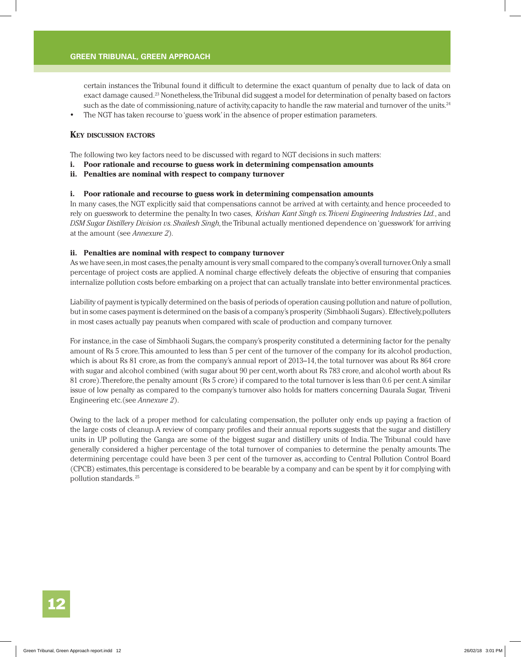certain instances the Tribunal found it difficult to determine the exact quantum of penalty due to lack of data on exact damage caused.23 Nonetheless, the Tribunal did suggest a model for determination of penalty based on factors such as the date of commissioning, nature of activity, capacity to handle the raw material and turnover of the units.<sup>24</sup>

The NGT has taken recourse to 'guess work' in the absence of proper estimation parameters.

#### **Key discussion factors**

The following two key factors need to be discussed with regard to NGT decisions in such matters:

- **i. Poor rationale and recourse to guess work in determining compensation amounts**
- **ii. Penalties are nominal with respect to company turnover**

#### **i. Poor rationale and recourse to guess work in determining compensation amounts**

In many cases, the NGT explicitly said that compensations cannot be arrived at with certainty, and hence proceeded to rely on guesswork to determine the penalty. In two cases, *Krishan Kant Singh vs. Triveni Engineering Industries Ltd.,* and *DSM Sugar Distillery Division vs. Shailesh Singh,* the Tribunal actually mentioned dependence on 'guesswork' for arriving at the amount (see *Annexure 2*)*.* 

#### **ii. Penalties are nominal with respect to company turnover**

As we have seen, in most cases, the penalty amount is very small compared to the company's overall turnover. Only a small percentage of project costs are applied. A nominal charge effectively defeats the objective of ensuring that companies internalize pollution costs before embarking on a project that can actually translate into better environmental practices.

Liability of payment is typically determined on the basis of periods of operation causing pollution and nature of pollution, but in some cases payment is determined on the basis of a company's prosperity (Simbhaoli Sugars). Effectively, polluters in most cases actually pay peanuts when compared with scale of production and company turnover.

For instance, in the case of Simbhaoli Sugars, the company's prosperity constituted a determining factor for the penalty amount of Rs 5 crore. This amounted to less than 5 per cent of the turnover of the company for its alcohol production, which is about Rs 81 crore, as from the company's annual report of 2013–14, the total turnover was about Rs 864 crore with sugar and alcohol combined (with sugar about 90 per cent, worth about Rs 783 crore, and alcohol worth about Rs 81 crore). Therefore, the penalty amount (Rs 5 crore) if compared to the total turnover is less than 0.6 per cent. A similar issue of low penalty as compared to the company's turnover also holds for matters concerning Daurala Sugar, Triveni Engineering etc.(see *Annexure 2*).

Owing to the lack of a proper method for calculating compensation, the polluter only ends up paying a fraction of the large costs of cleanup. A review of company profiles and their annual reports suggests that the sugar and distillery units in UP polluting the Ganga are some of the biggest sugar and distillery units of India. The Tribunal could have generally considered a higher percentage of the total turnover of companies to determine the penalty amounts. The determining percentage could have been 3 per cent of the turnover as, according to Central Pollution Control Board (CPCB) estimates, this percentage is considered to be bearable by a company and can be spent by it for complying with pollution standards. 25

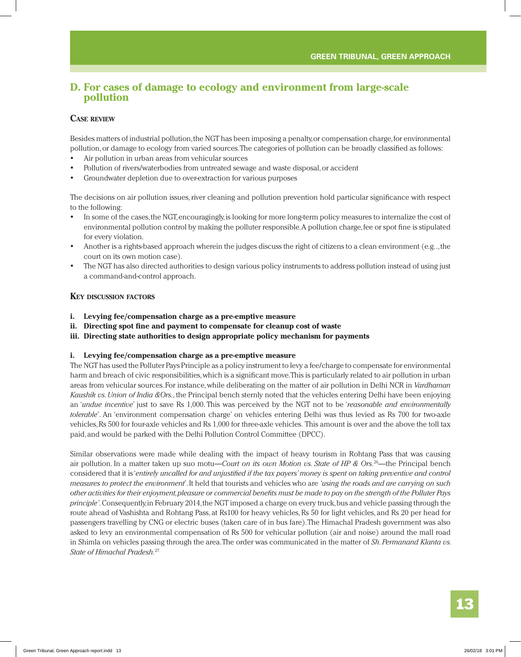## **D. For cases of damage to ecology and environment from large-scale pollution**

#### **Case review**

Besides matters of industrial pollution, the NGT has been imposing a penalty, or compensation charge, for environmental pollution, or damage to ecology from varied sources. The categories of pollution can be broadly classified as follows:

- Air pollution in urban areas from vehicular sources
- Pollution of rivers/waterbodies from untreated sewage and waste disposal, or accident
- Groundwater depletion due to over-extraction for various purposes

The decisions on air pollution issues, river cleaning and pollution prevention hold particular significance with respect to the following:

- In some of the cases, the NGT, encouragingly, is looking for more long-term policy measures to internalize the cost of environmental pollution control by making the polluter responsible. A pollution charge, fee or spot fine is stipulated for every violation.
- Another is a rights-based approach wherein the judges discuss the right of citizens to a clean environment (e.g. ., the court on its own motion case).
- The NGT has also directed authorities to design various policy instruments to address pollution instead of using just a command-and-control approach.

#### **Key discussion factors**

- **i. Levying fee/compensation charge as a pre-emptive measure**
- **ii. Directing spot fine and payment to compensate for cleanup cost of waste**
- **iii. Directing state authorities to design appropriate policy mechanism for payments**

#### **i. Levying fee/compensation charge as a pre-emptive measure**

The NGT has used the Polluter Pays Principle as a policy instrument to levy a fee/charge to compensate for environmental harm and breach of civic responsibilities, which is a significant move. This is particularly related to air pollution in urban areas from vehicular sources. For instance, while deliberating on the matter of air pollution in Delhi NCR in *Vardhaman Kaushik vs. Union of India &Ors.,* the Principal bench sternly noted that the vehicles entering Delhi have been enjoying an '*undue incentive*' just to save Rs 1,000. This was perceived by the NGT not to be '*reasonable and environmentally tolerable*'. An 'environment compensation charge' on vehicles entering Delhi was thus levied as Rs 700 for two-axle vehicles, Rs 500 for four-axle vehicles and Rs 1,000 for three-axle vehicles. This amount is over and the above the toll tax paid, and would be parked with the Delhi Pollution Control Committee (DPCC).

Similar observations were made while dealing with the impact of heavy tourism in Rohtang Pass that was causing air pollution. In a matter taken up suo motu—*Court on its own Motion vs. State of HP & Ors.*<sup>26</sup>*—*the Principal bench considered that it is '*entirely uncalled for and unjustified if the tax payers' money is spent on taking preventive and control measures to protect the environment*'. It held that tourists and vehicles who are *'using the roads and are carrying on such other activities for their enjoyment, pleasure or commercial benefits must be made to pay on the strength of the Polluter Pays principle'.* Consequently, in February 2014, the NGT imposed a charge on every truck, bus and vehicle passing through the route ahead of Vashishta and Rohtang Pass, at Rs100 for heavy vehicles, Rs 50 for light vehicles, and Rs 20 per head for passengers travelling by CNG or electric buses (taken care of in bus fare). The Himachal Pradesh government was also asked to levy an environmental compensation of Rs 500 for vehicular pollution (air and noise) around the mall road in Shimla on vehicles passing through the area. The order was communicated in the matter of *Sh. Permanand Klanta vs. State of Himachal Pradesh.*<sup>27</sup>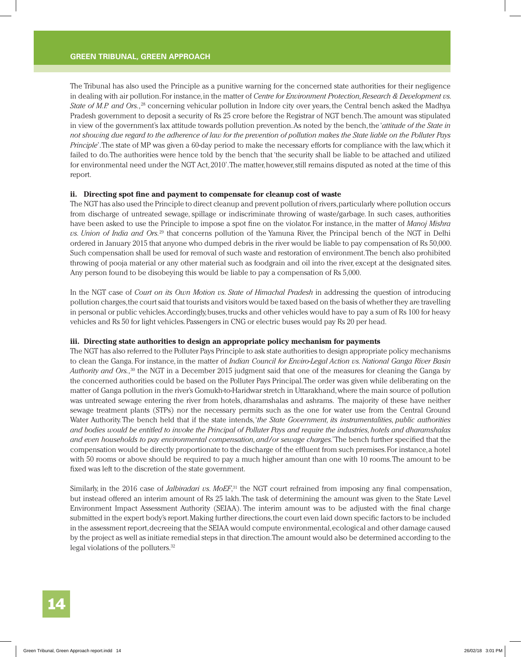The Tribunal has also used the Principle as a punitive warning for the concerned state authorities for their negligence in dealing with air pollution. For instance, in the matter of *Centre for Environment Protection, Research & Development vs. State of M.P. and Ors.,*<sup>28</sup> concerning vehicular pollution in Indore city over years, the Central bench asked the Madhya Pradesh government to deposit a security of Rs 25 crore before the Registrar of NGT bench. The amount was stipulated in view of the government's lax attitude towards pollution prevention. As noted by the bench, the '*attitude of the State in not showing due regard to the adherence of law for the prevention of pollution makes the State liable on the Polluter Pays Principle*'. The state of MP was given a 60-day period to make the necessary efforts for compliance with the law, which it failed to do. The authorities were hence told by the bench that 'the security shall be liable to be attached and utilized for environmental need under the NGT Act, 2010'. The matter, however, still remains disputed as noted at the time of this report.

#### **ii. Directing spot fine and payment to compensate for cleanup cost of waste**

The NGT has also used the Principle to direct cleanup and prevent pollution of rivers, particularly where pollution occurs from discharge of untreated sewage, spillage or indiscriminate throwing of waste/garbage. In such cases, authorities have been asked to use the Principle to impose a spot fine on the violator. For instance, in the matter of *Manoj Mishra vs. Union of India and Ors.*<sup>29</sup> that concerns pollution of the Yamuna River, the Principal bench of the NGT in Delhi ordered in January 2015 that anyone who dumped debris in the river would be liable to pay compensation of Rs 50,000. Such compensation shall be used for removal of such waste and restoration of environment. The bench also prohibited throwing of pooja material or any other material such as foodgrain and oil into the river, except at the designated sites. Any person found to be disobeying this would be liable to pay a compensation of Rs 5,000.

In the NGT case of *Court on its Own Motion vs. State of Himachal Pradesh* in addressing the question of introducing pollution charges, the court said that tourists and visitors would be taxed based on the basis of whether they are travelling in personal or public vehicles. Accordingly, buses, trucks and other vehicles would have to pay a sum of Rs 100 for heavy vehicles and Rs 50 for light vehicles. Passengers in CNG or electric buses would pay Rs 20 per head.

#### **iii. Directing state authorities to design an appropriate policy mechanism for payments**

The NGT has also referred to the Polluter Pays Principle to ask state authorities to design appropriate policy mechanisms to clean the Ganga. For instance, in the matter of *Indian Council for Enviro-Legal Action vs. National Ganga River Basin Authority and Ors.,*<sup>30</sup> the NGT in a December 2015 judgment said that one of the measures for cleaning the Ganga by the concerned authorities could be based on the Polluter Pays Principal. The order was given while deliberating on the matter of Ganga pollution in the river's Gomukh-to-Haridwar stretch in Uttarakhand, where the main source of pollution was untreated sewage entering the river from hotels, dharamshalas and ashrams. The majority of these have neither sewage treatment plants (STPs) nor the necessary permits such as the one for water use from the Central Ground Water Authority. The bench held that if the state intends, '*the State Government, its instrumentalities, public authorities and bodies would be entitled to invoke the Principal of Polluter Pays and require the industries, hotels and dharamshalas and even households to pay environmental compensation, and/or sewage charges.'* The bench further specified that the compensation would be directly proportionate to the discharge of the effluent from such premises. For instance, a hotel with 50 rooms or above should be required to pay a much higher amount than one with 10 rooms. The amount to be fixed was left to the discretion of the state government.

Similarly, in the 2016 case of *Jalbiradari vs. MoEF*,<sup>31</sup> the NGT court refrained from imposing any final compensation, but instead offered an interim amount of Rs 25 lakh. The task of determining the amount was given to the State Level Environment Impact Assessment Authority (SEIAA). The interim amount was to be adjusted with the final charge submitted in the expert body's report. Making further directions, the court even laid down specific factors to be included in the assessment report, decreeing that the SEIAA would compute environmental, ecological and other damage caused by the project as well as initiate remedial steps in that direction. The amount would also be determined according to the legal violations of the polluters.32

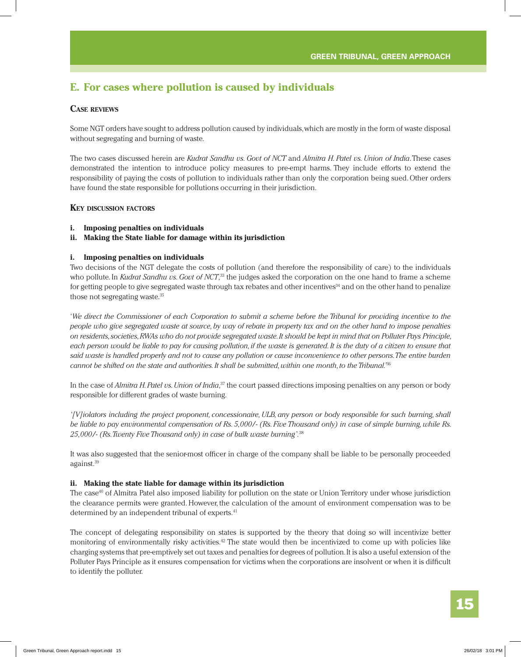## **E. For cases where pollution is caused by individuals**

#### **Case reviews**

Some NGT orders have sought to address pollution caused by individuals, which are mostly in the form of waste disposal without segregating and burning of waste.

The two cases discussed herein are *Kudrat Sandhu vs. Govt of NCT* and *Almitra H. Patel vs. Union of India*. These cases demonstrated the intention to introduce policy measures to pre-empt harms. They include efforts to extend the responsibility of paying the costs of pollution to individuals rather than only the corporation being sued. Other orders have found the state responsible for pollutions occurring in their jurisdiction.

#### **Key discussion factors**

**i. Imposing penalties on individuals**

#### **ii. Making the State liable for damage within its jurisdiction**

#### **i. Imposing penalties on individuals**

Two decisions of the NGT delegate the costs of pollution (and therefore the responsibility of care) to the individuals who pollute. In *Kudrat Sandhu vs. Govt of NCT*,<sup>33</sup> the judges asked the corporation on the one hand to frame a scheme for getting people to give segregated waste through tax rebates and other incentives<sup>34</sup> and on the other hand to penalize those not segregating waste.35

'*We direct the Commissioner of each Corporation to submit a scheme before the Tribunal for providing incentive to the people who give segregated waste at source, by way of rebate in property tax and on the other hand to impose penalties on residents, societies, RWAs who do not provide segregated waste. It should be kept in mind that on Polluter Pays Principle, each person would be liable to pay for causing pollution, if the waste is generated. It is the duty of a citizen to ensure that said waste is handled properly and not to cause any pollution or cause inconvenience to other persons. The entire burden cannot be shifted on the state and authorities. It shall be submitted, within one month, to the Tribunal.'*<sup>36</sup>

In the case of *Almitra H. Patel vs. Union of India*,<sup>37</sup> the court passed directions imposing penalties on any person or body responsible for different grades of waste burning.

*'[V]iolators including the project proponent, concessionaire, ULB, any person or body responsible for such burning, shall be liable to pay environmental compensation of Rs. 5,000/- (Rs. Five Thousand only) in case of simple burning, while Rs. 25,000/- (Rs. Twenty Five Thousand only) in case of bulk waste burning'.*<sup>38</sup>

It was also suggested that the senior-most officer in charge of the company shall be liable to be personally proceeded against.39

#### **ii. Making the state liable for damage within its jurisdiction**

The case<sup>40</sup> of Almitra Patel also imposed liability for pollution on the state or Union Territory under whose jurisdiction the clearance permits were granted. However, the calculation of the amount of environment compensation was to be determined by an independent tribunal of experts.<sup>41</sup>

The concept of delegating responsibility on states is supported by the theory that doing so will incentivize better monitoring of environmentally risky activities.<sup>42</sup> The state would then be incentivized to come up with policies like charging systems that pre-emptively set out taxes and penalties for degrees of pollution. It is also a useful extension of the Polluter Pays Principle as it ensures compensation for victims when the corporations are insolvent or when it is difficult to identify the polluter.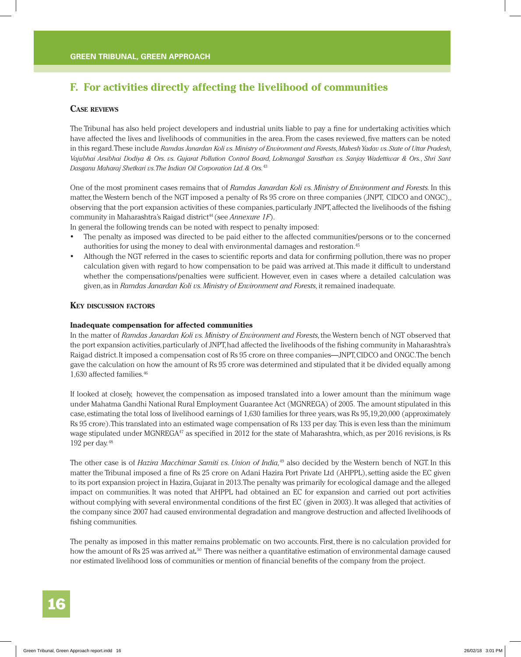## **F. For activities directly affecting the livelihood of communities**

#### **Case reviews**

The Tribunal has also held project developers and industrial units liable to pay a fine for undertaking activities which have affected the lives and livelihoods of communities in the area. From the cases reviewed, five matters can be noted in this regard. These include *Ramdas Janardan Koli vs. Ministry of Environment and Forests, Mukesh Yadav vs. State of Uttar Pradesh, Vajubhai Arsibhai Dodiya & Ors. vs. Gujarat Pollution Control Board, Lokmangal Sansthan vs. Sanjay Wadettiwar & Ors., Shri Sant Dasganu Maharaj Shetkari vs. The Indian Oil Corporation Ltd. & Ors.*<sup>43</sup>

One of the most prominent cases remains that of *Ramdas Janardan Koli vs. Ministry of Environment and Forests.* In this matter, the Western bench of the NGT imposed a penalty of Rs 95 crore on three companies (JNPT, CIDCO and ONGC),, observing that the port expansion activities of these companies, particularly JNPT, affected the livelihoods of the fishing community in Maharashtra's Raigad district<sup>44</sup> (see *Annexure 1F*).

In general the following trends can be noted with respect to penalty imposed:

- The penalty as imposed was directed to be paid either to the affected communities/persons or to the concerned authorities for using the money to deal with environmental damages and restoration.45
- Although the NGT referred in the cases to scientific reports and data for confirming pollution, there was no proper calculation given with regard to how compensation to be paid was arrived at. This made it difficult to understand whether the compensations/penalties were sufficient. However, even in cases where a detailed calculation was given, as in *Ramdas Janardan Koli vs. Ministry of Environment and Forests,* it remained inadequate.

#### **Key discussion factors**

#### **Inadequate compensation for affected communities**

In the matter of *Ramdas Janardan Koli vs. Ministry of Environment and Forests*, the Western bench of NGT observed that the port expansion activities, particularly of JNPT, had affected the livelihoods of the fishing community in Maharashtra's Raigad district. It imposed a compensation cost of Rs 95 crore on three companies—JNPT, CIDCO and ONGC. The bench gave the calculation on how the amount of Rs 95 crore was determined and stipulated that it be divided equally among 1,630 affected families.46

If looked at closely, however, the compensation as imposed translated into a lower amount than the minimum wage under Mahatma Gandhi National Rural Employment Guarantee Act (MGNREGA) of 2005. The amount stipulated in this case, estimating the total loss of livelihood earnings of 1,630 families for three years, was Rs 95,19,20,000 (approximately Rs 95 crore). This translated into an estimated wage compensation of Rs 133 per day. This is even less than the minimum wage stipulated under MGNREGA<sup>47</sup> as specified in 2012 for the state of Maharashtra, which, as per 2016 revisions, is Rs 192 per day. 48

The other case is of *Hazira Macchimar Samiti vs. Union of India,*<sup>49</sup> also decided by the Western bench of NGT. In this matter the Tribunal imposed a fine of Rs 25 crore on Adani Hazira Port Private Ltd (AHPPL), setting aside the EC given to its port expansion project in Hazira, Gujarat in 2013. The penalty was primarily for ecological damage and the alleged impact on communities. It was noted that AHPPL had obtained an EC for expansion and carried out port activities without complying with several environmental conditions of the first EC (given in 2003). It was alleged that activities of the company since 2007 had caused environmental degradation and mangrove destruction and affected livelihoods of fishing communities.

The penalty as imposed in this matter remains problematic on two accounts. First, there is no calculation provided for how the amount of Rs 25 was arrived at*.* 50 There was neither a quantitative estimation of environmental damage caused nor estimated livelihood loss of communities or mention of financial benefits of the company from the project.

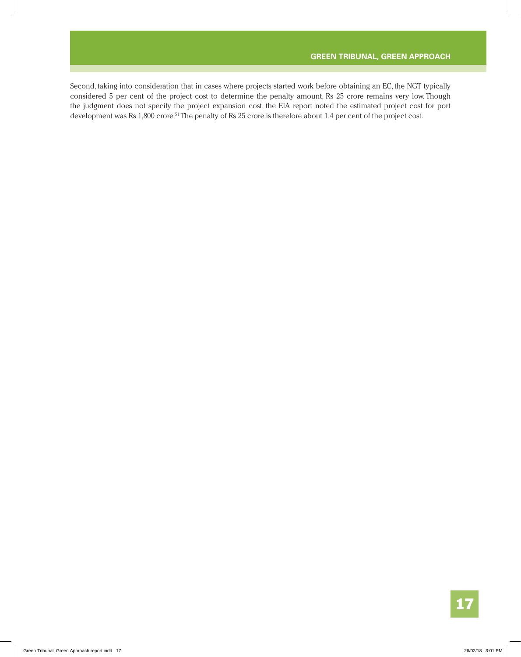Second, taking into consideration that in cases where projects started work before obtaining an EC, the NGT typically considered 5 per cent of the project cost to determine the penalty amount, Rs 25 crore remains very low. Though the judgment does not specify the project expansion cost, the EIA report noted the estimated project cost for port development was Rs 1,800 crore.<sup>51</sup> The penalty of Rs 25 crore is therefore about 1.4 per cent of the project cost.

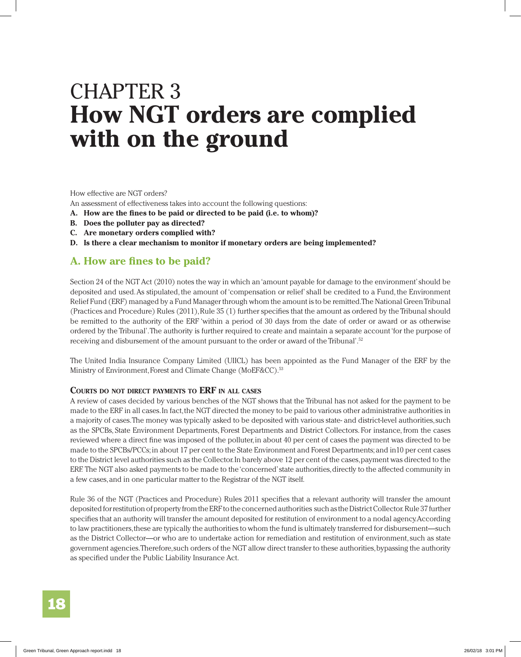## CHAPTER 3 **How NGT orders are complied with on the ground**

How effective are NGT orders?

An assessment of effectiveness takes into account the following questions:

- **A. How are the fines to be paid or directed to be paid (i.e. to whom)?**
- **B. Does the polluter pay as directed?**
- **C. Are monetary orders complied with?**
- **D. Is there a clear mechanism to monitor if monetary orders are being implemented?**

## **A. How are fines to be paid?**

Section 24 of the NGT Act (2010) notes the way in which an 'amount payable for damage to the environment' should be deposited and used. As stipulated, the amount of 'compensation or relief' shall be credited to a Fund, the Environment Relief Fund (ERF) managed by a Fund Manager through whom the amount is to be remitted. The National Green Tribunal (Practices and Procedure) Rules (2011), Rule 35 (1) further specifies that the amount as ordered by the Tribunal should be remitted to the authority of the ERF 'within a period of 30 days from the date of order or award or as otherwise ordered by the Tribunal'. The authority is further required to create and maintain a separate account 'for the purpose of receiving and disbursement of the amount pursuant to the order or award of the Tribunal'.52

The United India Insurance Company Limited (UIICL) has been appointed as the Fund Manager of the ERF by the Ministry of Environment, Forest and Climate Change (MoEF&CC).<sup>53</sup>

#### **Courts do not direct payments to ERF in all cases**

A review of cases decided by various benches of the NGT shows that the Tribunal has not asked for the payment to be made to the ERF in all cases. In fact, the NGT directed the money to be paid to various other administrative authorities in a majority of cases. The money was typically asked to be deposited with various state- and district-level authorities, such as the SPCBs, State Environment Departments, Forest Departments and District Collectors. For instance, from the cases reviewed where a direct fine was imposed of the polluter, in about 40 per cent of cases the payment was directed to be made to the SPCBs/PCCs; in about 17 per cent to the State Environment and Forest Departments; and in10 per cent cases to the District level authorities such as the Collector. In barely above 12 per cent of the cases, payment was directed to the ERF. The NGT also asked payments to be made to the 'concerned' state authorities, directly to the affected community in a few cases, and in one particular matter to the Registrar of the NGT itself.

Rule 36 of the NGT (Practices and Procedure) Rules 2011 specifies that a relevant authority will transfer the amount deposited for restitution of property from the ERF to the concerned authorities such as the District Collector. Rule 37 further specifies that an authority will transfer the amount deposited for restitution of environment to a nodal agency. According to law practitioners, these are typically the authorities to whom the fund is ultimately transferred for disbursement—such as the District Collector—or who are to undertake action for remediation and restitution of environment, such as state government agencies. Therefore, such orders of the NGT allow direct transfer to these authorities, bypassing the authority as specified under the Public Liability Insurance Act.

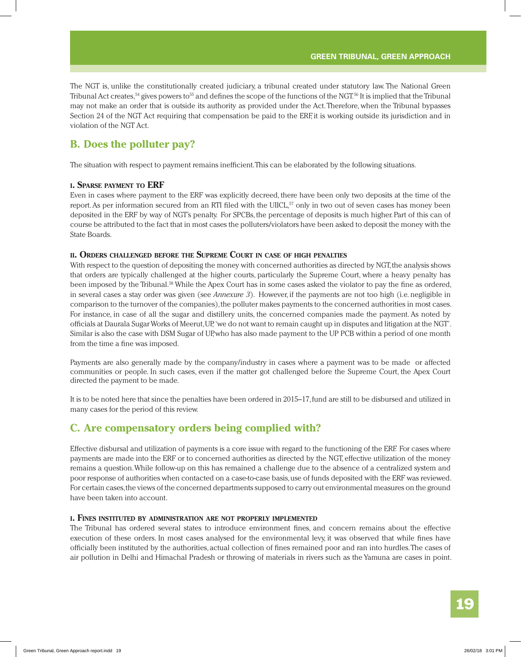The NGT is, unlike the constitutionally created judiciary, a tribunal created under statutory law. The National Green Tribunal Act creates,<sup>54</sup> gives powers to<sup>55</sup> and defines the scope of the functions of the NGT.<sup>56</sup> It is implied that the Tribunal may not make an order that is outside its authority as provided under the Act. Therefore, when the Tribunal bypasses Section 24 of the NGT Act requiring that compensation be paid to the ERF it is working outside its jurisdiction and in violation of the NGT Act.

## **B. Does the polluter pay?**

The situation with respect to payment remains inefficient. This can be elaborated by the following situations.

#### **i. Sparse payment to ERF**

Even in cases where payment to the ERF was explicitly decreed, there have been only two deposits at the time of the report. As per information secured from an RTI filed with the UIICL,<sup>57</sup> only in two out of seven cases has money been deposited in the ERF by way of NGT's penalty. For SPCBs, the percentage of deposits is much higher. Part of this can of course be attributed to the fact that in most cases the polluters/violators have been asked to deposit the money with the State Boards.

#### **ii. Orders challenged before the Supreme Court in case of high penalties**

With respect to the question of depositing the money with concerned authorities as directed by NGT, the analysis shows that orders are typically challenged at the higher courts, particularly the Supreme Court, where a heavy penalty has been imposed by the Tribunal.58 While the Apex Court has in some cases asked the violator to pay the fine as ordered, in several cases a stay order was given (see *Annexure 3*). However, if the payments are not too high (i.e. negligible in comparison to the turnover of the companies), the polluter makes payments to the concerned authorities in most cases. For instance, in case of all the sugar and distillery units, the concerned companies made the payment. As noted by officials at Daurala Sugar Works of Meerut, UP, 'we do not want to remain caught up in disputes and litigation at the NGT'. Similar is also the case with DSM Sugar of UP, who has also made payment to the UP PCB within a period of one month from the time a fine was imposed.

Payments are also generally made by the company/industry in cases where a payment was to be made or affected communities or people. In such cases, even if the matter got challenged before the Supreme Court, the Apex Court directed the payment to be made.

It is to be noted here that since the penalties have been ordered in 2015–17, fund are still to be disbursed and utilized in many cases for the period of this review.

## **C. Are compensatory orders being complied with?**

Effective disbursal and utilization of payments is a core issue with regard to the functioning of the ERF. For cases where payments are made into the ERF or to concerned authorities as directed by the NGT, effective utilization of the money remains a question. While follow-up on this has remained a challenge due to the absence of a centralized system and poor response of authorities when contacted on a case-to-case basis, use of funds deposited with the ERF was reviewed. For certain cases, the views of the concerned departments supposed to carry out environmental measures on the ground have been taken into account.

#### **i. Fines instituted by administration are not properly implemented**

The Tribunal has ordered several states to introduce environment fines, and concern remains about the effective execution of these orders. In most cases analysed for the environmental levy, it was observed that while fines have officially been instituted by the authorities, actual collection of fines remained poor and ran into hurdles. The cases of air pollution in Delhi and Himachal Pradesh or throwing of materials in rivers such as the Yamuna are cases in point.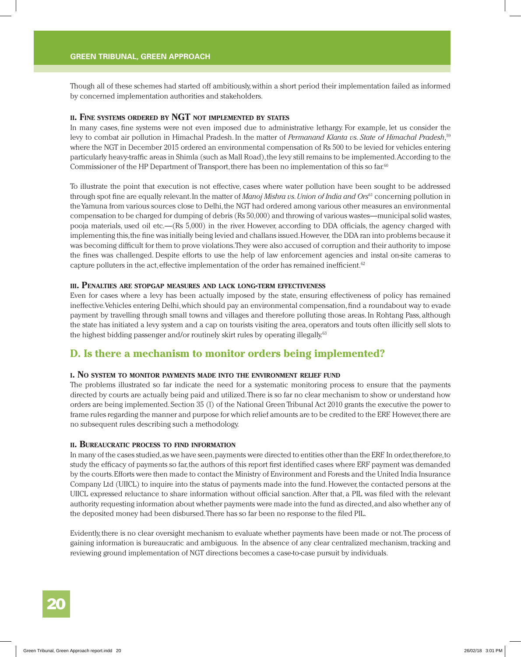Though all of these schemes had started off ambitiously, within a short period their implementation failed as informed by concerned implementation authorities and stakeholders.

#### **ii. Fine systems ordered by NGT not implemented by states**

In many cases, fine systems were not even imposed due to administrative lethargy. For example, let us consider the levy to combat air pollution in Himachal Pradesh. In the matter of *Permanand Klanta vs. State of Himachal Pradesh*, 59 where the NGT in December 2015 ordered an environmental compensation of Rs 500 to be levied for vehicles entering particularly heavy-traffic areas in Shimla (such as Mall Road), the levy still remains to be implemented. According to the Commissioner of the HP Department of Transport, there has been no implementation of this so far.<sup>60</sup>

To illustrate the point that execution is not effective, cases where water pollution have been sought to be addressed through spot fine are equally relevant. In the matter of *Manoj Mishra vs. Union of India and Ors*61 concerning pollution in the Yamuna from various sources close to Delhi, the NGT had ordered among various other measures an environmental compensation to be charged for dumping of debris (Rs 50,000) and throwing of various wastes—municipal solid wastes, pooja materials, used oil etc.—(Rs 5,000) in the river. However, according to DDA officials, the agency charged with implementing this, the fine was initially being levied and challans issued. However, the DDA ran into problems because it was becoming difficult for them to prove violations. They were also accused of corruption and their authority to impose the fines was challenged. Despite efforts to use the help of law enforcement agencies and instal on-site cameras to capture polluters in the act, effective implementation of the order has remained inefficient. $62$ 

#### **iii. Penalties are stopgap measures and lack long-term effectiveness**

Even for cases where a levy has been actually imposed by the state, ensuring effectiveness of policy has remained ineffective. Vehicles entering Delhi, which should pay an environmental compensation, find a roundabout way to evade payment by travelling through small towns and villages and therefore polluting those areas. In Rohtang Pass, although the state has initiated a levy system and a cap on tourists visiting the area, operators and touts often illicitly sell slots to the highest bidding passenger and/or routinely skirt rules by operating illegally.<sup>63</sup>

### **D. Is there a mechanism to monitor orders being implemented?**

#### **i. No system to monitor payments made into the environment relief fund**

The problems illustrated so far indicate the need for a systematic monitoring process to ensure that the payments directed by courts are actually being paid and utilized. There is so far no clear mechanism to show or understand how orders are being implemented. Section 35 (l) of the National Green Tribunal Act 2010 grants the executive the power to frame rules regarding the manner and purpose for which relief amounts are to be credited to the ERF. However, there are no subsequent rules describing such a methodology.

#### **ii. Bureaucratic process to find information**

In many of the cases studied, as we have seen, payments were directed to entities other than the ERF. In order, therefore, to study the efficacy of payments so far, the authors of this report first identified cases where ERF payment was demanded by the courts. Efforts were then made to contact the Ministry of Environment and Forests and the United India Insurance Company Ltd (UIICL) to inquire into the status of payments made into the fund. However, the contacted persons at the UIICL expressed reluctance to share information without official sanction. After that, a PIL was filed with the relevant authority requesting information about whether payments were made into the fund as directed, and also whether any of the deposited money had been disbursed. There has so far been no response to the filed PIL.

Evidently, there is no clear oversight mechanism to evaluate whether payments have been made or not. The process of gaining information is bureaucratic and ambiguous. In the absence of any clear centralized mechanism, tracking and reviewing ground implementation of NGT directions becomes a case-to-case pursuit by individuals.

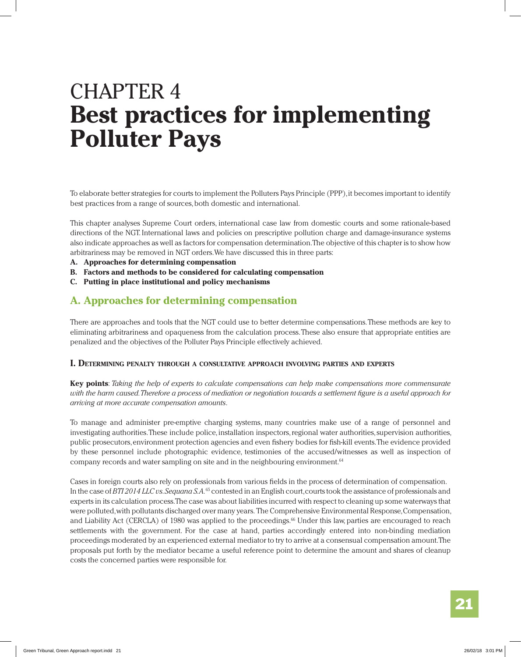## CHAPTER 4 **Best practices for implementing Polluter Pays**

To elaborate better strategies for courts to implement the Polluters Pays Principle (PPP), it becomes important to identify best practices from a range of sources, both domestic and international.

This chapter analyses Supreme Court orders, international case law from domestic courts and some rationale-based directions of the NGT. International laws and policies on prescriptive pollution charge and damage-insurance systems also indicate approaches as well as factors for compensation determination. The objective of this chapter is to show how arbitrariness may be removed in NGT orders. We have discussed this in three parts:

- **A. Approaches for determining compensation**
- **B. Factors and methods to be considered for calculating compensation**
- **C. Putting in place institutional and policy mechanisms**

## **A. Approaches for determining compensation**

There are approaches and tools that the NGT could use to better determine compensations. These methods are key to eliminating arbitrariness and opaqueness from the calculation process. These also ensure that appropriate entities are penalized and the objectives of the Polluter Pays Principle effectively achieved.

#### **I. Determining penalty through <sup>a</sup> consultative approach involving parties and experts**

**Key points**: *Taking the help of experts to calculate compensations can help make compensations more commensurate with the harm caused. Therefore a process of mediation or negotiation towards a settlement figure is a useful approach for arriving at more accurate compensation amounts*.

To manage and administer pre-emptive charging systems, many countries make use of a range of personnel and investigating authorities. These include police, installation inspectors, regional water authorities, supervision authorities, public prosecutors, environment protection agencies and even fishery bodies for fish-kill events. The evidence provided by these personnel include photographic evidence, testimonies of the accused/witnesses as well as inspection of company records and water sampling on site and in the neighbouring environment.64

Cases in foreign courts also rely on professionals from various fields in the process of determination of compensation. In the case of *BTI 2014 LLC vs. Sequana S.A.*<sup>65</sup> contested in an English court, courts took the assistance of professionals and experts in its calculation process. The case was about liabilities incurred with respect to cleaning up some waterways that were polluted, with pollutants discharged over many years. The Comprehensive Environmental Response, Compensation, and Liability Act (CERCLA) of 1980 was applied to the proceedings.<sup>66</sup> Under this law, parties are encouraged to reach settlements with the government. For the case at hand, parties accordingly entered into non-binding mediation proceedings moderated by an experienced external mediator to try to arrive at a consensual compensation amount. The proposals put forth by the mediator became a useful reference point to determine the amount and shares of cleanup costs the concerned parties were responsible for.

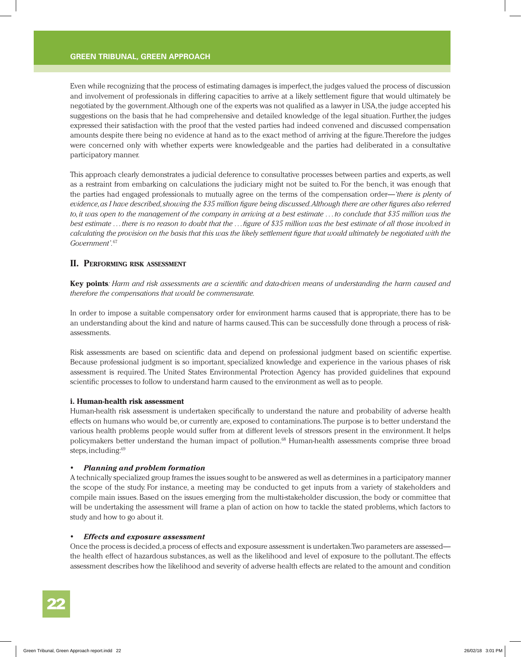Even while recognizing that the process of estimating damages is imperfect, the judges valued the process of discussion and involvement of professionals in differing capacities to arrive at a likely settlement figure that would ultimately be negotiated by the government. Although one of the experts was not qualified as a lawyer in USA, the judge accepted his suggestions on the basis that he had comprehensive and detailed knowledge of the legal situation. Further, the judges expressed their satisfaction with the proof that the vested parties had indeed convened and discussed compensation amounts despite there being no evidence at hand as to the exact method of arriving at the figure. Therefore the judges were concerned only with whether experts were knowledgeable and the parties had deliberated in a consultative participatory manner.

This approach clearly demonstrates a judicial deference to consultative processes between parties and experts, as well as a restraint from embarking on calculations the judiciary might not be suited to. For the bench, it was enough that the parties had engaged professionals to mutually agree on the terms of the compensation order—*'there is plenty of evidence, as I have described, showing the \$35 million figure being discussed. Although there are other figures also referred to, it was open to the management of the company in arriving at a best estimate . . . to conclude that \$35 million was the best estimate . . . there is no reason to doubt that the . . . figure of \$35 million was the best estimate of all those involved in calculating the provision on the basis that this was the likely settlement figure that would ultimately be negotiated with the Government'.*<sup>67</sup>

#### **II. Performing risk assessment**

**Key points***: Harm and risk assessments are a scientific and data-driven means of understanding the harm caused and therefore the compensations that would be commensurate.*

In order to impose a suitable compensatory order for environment harms caused that is appropriate, there has to be an understanding about the kind and nature of harms caused. This can be successfully done through a process of riskassessments.

Risk assessments are based on scientific data and depend on professional judgment based on scientific expertise. Because professional judgment is so important, specialized knowledge and experience in the various phases of risk assessment is required. The United States Environmental Protection Agency has provided guidelines that expound scientific processes to follow to understand harm caused to the environment as well as to people.

#### **i. Human-health risk assessment**

Human-health risk assessment is undertaken specifically to understand the nature and probability of adverse health effects on humans who would be, or currently are, exposed to contaminations. The purpose is to better understand the various health problems people would suffer from at different levels of stressors present in the environment. It helps policymakers better understand the human impact of pollution.68 Human-health assessments comprise three broad steps, including:<sup>69</sup>

#### • *Planning and problem formation*

A technically specialized group frames the issues sought to be answered as well as determines in a participatory manner the scope of the study. For instance, a meeting may be conducted to get inputs from a variety of stakeholders and compile main issues. Based on the issues emerging from the multi-stakeholder discussion, the body or committee that will be undertaking the assessment will frame a plan of action on how to tackle the stated problems, which factors to study and how to go about it.

#### • *Effects and exposure assessment*

Once the process is decided, a process of effects and exposure assessment is undertaken. Two parameters are assessed the health effect of hazardous substances, as well as the likelihood and level of exposure to the pollutant. The effects assessment describes how the likelihood and severity of adverse health effects are related to the amount and condition

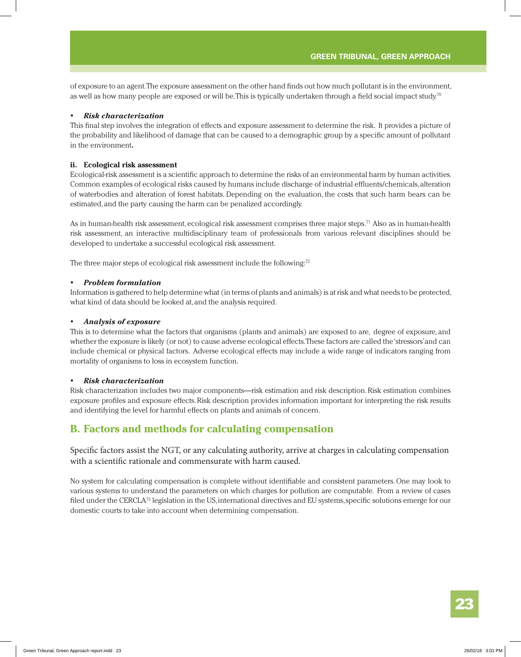of exposure to an agent. The exposure assessment on the other hand finds out how much pollutant is in the environment, as well as how many people are exposed or will be. This is typically undertaken through a field social impact study.<sup>70</sup>

#### • *Risk characterization*

This final step involves the integration of effects and exposure assessment to determine the risk. It provides a picture of the probability and likelihood of damage that can be caused to a demographic group by a specific amount of pollutant in the environment**.**

#### **ii. Ecological risk assessment**

Ecological-risk assessment is a scientific approach to determine the risks of an environmental harm by human activities. Common examples of ecological risks caused by humans include discharge of industrial effluents/chemicals, alteration of waterbodies and alteration of forest habitats. Depending on the evaluation, the costs that such harm bears can be estimated, and the party causing the harm can be penalized accordingly.

As in human-health risk assessment, ecological risk assessment comprises three major steps.71 Also as in human-health risk assessment, an interactive multidisciplinary team of professionals from various relevant disciplines should be developed to undertake a successful ecological risk assessment.

The three major steps of ecological risk assessment include the following:<sup>72</sup>

#### • *Problem formulation*

Information is gathered to help determine what (in terms of plants and animals) is at risk and what needs to be protected, what kind of data should be looked at, and the analysis required.

#### • *Analysis of exposure*

This is to determine what the factors that organisms (plants and animals) are exposed to are, degree of exposure, and whether the exposure is likely (or not) to cause adverse ecological effects. These factors are called the 'stressors'and can include chemical or physical factors. Adverse ecological effects may include a wide range of indicators ranging from mortality of organisms to loss in ecosystem function.

#### • *Risk characterization*

Risk characterization includes two major components—risk estimation and risk description. Risk estimation combines exposure profiles and exposure effects. Risk description provides information important for interpreting the risk results and identifying the level for harmful effects on plants and animals of concern.

### **B. Factors and methods for calculating compensation**

Specific factors assist the NGT, or any calculating authority, arrive at charges in calculating compensation with a scientific rationale and commensurate with harm caused.

No system for calculating compensation is complete without identifiable and consistent parameters. One may look to various systems to understand the parameters on which charges for pollution are computable. From a review of cases filed under the CERCLA73 legislation in the US, international directives and EU systems, specific solutions emerge for our domestic courts to take into account when determining compensation.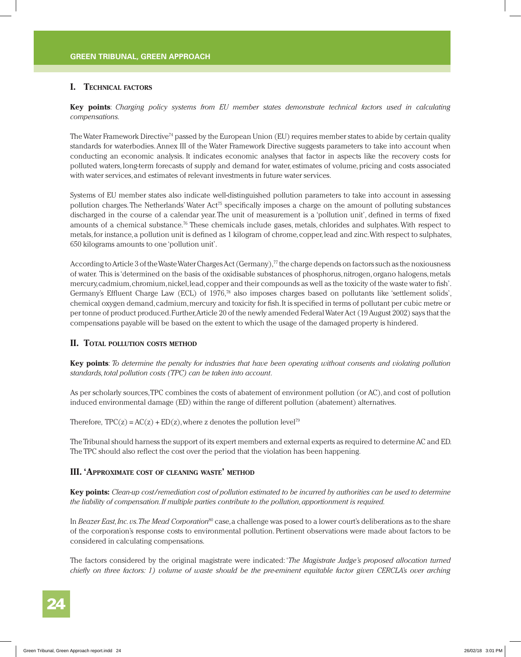#### **I. Technical factors**

**Key points**: *Charging policy systems from EU member states demonstrate technical factors used in calculating compensations.* 

The Water Framework Directive<sup>74</sup> passed by the European Union (EU) requires member states to abide by certain quality standards for waterbodies. Annex III of the Water Framework Directive suggests parameters to take into account when conducting an economic analysis. It indicates economic analyses that factor in aspects like the recovery costs for polluted waters, long-term forecasts of supply and demand for water, estimates of volume, pricing and costs associated with water services, and estimates of relevant investments in future water services.

Systems of EU member states also indicate well-distinguished pollution parameters to take into account in assessing pollution charges. The Netherlands' Water Act75 specifically imposes a charge on the amount of polluting substances discharged in the course of a calendar year. The unit of measurement is a 'pollution unit', defined in terms of fixed amounts of a chemical substance.76 These chemicals include gases, metals, chlorides and sulphates. With respect to metals, for instance, a pollution unit is defined as 1 kilogram of chrome, copper, lead and zinc. With respect to sulphates, 650 kilograms amounts to one 'pollution unit'.

According to Article 3 of the Waste Water Charges Act (Germany),<sup>77</sup> the charge depends on factors such as the noxiousness of water. This is 'determined on the basis of the oxidisable substances of phosphorus, nitrogen, organo halogens, metals mercury, cadmium, chromium, nickel, lead, copper and their compounds as well as the toxicity of the waste water to fish'. Germany's Effluent Charge Law (ECL) of 1976,78 also imposes charges based on pollutants like 'settlement solids', chemical oxygen demand, cadmium, mercury and toxicity for fish. It is specified in terms of pollutant per cubic metre or per tonne of product produced. Further, Article 20 of the newly amended Federal Water Act (19 August 2002) says that the compensations payable will be based on the extent to which the usage of the damaged property is hindered.

#### **II. Total pollution costs method**

**Key points**: *To determine the penalty for industries that have been operating without consents and violating pollution standards, total pollution costs (TPC) can be taken into account*.

As per scholarly sources, TPC combines the costs of abatement of environment pollution (or AC), and cost of pollution induced environmental damage (ED) within the range of different pollution (abatement) alternatives.

Therefore,  $TPC(z) = AC(z) + ED(z)$ , where z denotes the pollution level<sup>79</sup>

The Tribunal should harness the support of its expert members and external experts as required to determine AC and ED. The TPC should also reflect the cost over the period that the violation has been happening.

#### **III. 'Approximate cost of cleaning waste' method**

**Key points:** *Clean-up cost/remediation cost of pollution estimated to be incurred by authorities can be used to determine the liability of compensation. If multiple parties contribute to the pollution, apportionment is required.*

In *Beazer East, Inc. vs. The Mead Corporation*<sup>80</sup> case, a challenge was posed to a lower court's deliberations as to the share of the corporation's response costs to environmental pollution. Pertinent observations were made about factors to be considered in calculating compensations.

The factors considered by the original magistrate were indicated: '*The Magistrate Judge's proposed allocation turned chiefly on three factors: 1) volume of waste should be the pre-eminent equitable factor given CERCLA's over arching* 

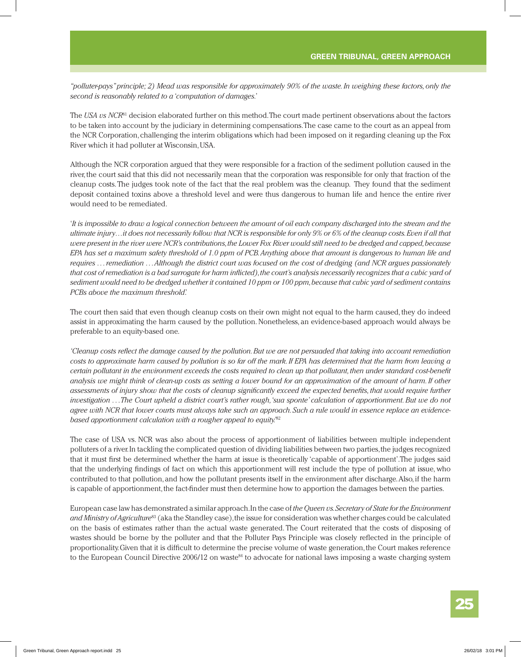*"polluter-pays" principle; 2) Mead was responsible for approximately 90% of the waste. In weighing these factors, only the second is reasonably related to a 'computation of damages.'*

The *USA vs NCR*81 decision elaborated further on this method. The court made pertinent observations about the factors to be taken into account by the judiciary in determining compensations. The case came to the court as an appeal from the NCR Corporation, challenging the interim obligations which had been imposed on it regarding cleaning up the Fox River which it had polluter at Wisconsin, USA.

Although the NCR corporation argued that they were responsible for a fraction of the sediment pollution caused in the river, the court said that this did not necessarily mean that the corporation was responsible for only that fraction of the cleanup costs. The judges took note of the fact that the real problem was the cleanup. They found that the sediment deposit contained toxins above a threshold level and were thus dangerous to human life and hence the entire river would need to be remediated.

'*It is impossible to draw a logical connection between the amount of oil each company discharged into the stream and the ultimate injury…it does not necessarily follow that NCR is responsible for only 9% or 6% of the cleanup costs. Even if all that were present in the river were NCR's contributions, the Lower Fox River would still need to be dredged and capped, because EPA has set a maximum safety threshold of 1.0 ppm of PCB. Anything above that amount is dangerous to human life and requires . . . remediation . . . Although the district court was focused on the cost of dredging (and NCR argues passionately that cost of remediation is a bad surrogate for harm inflicted), the court's analysis necessarily recognizes that a cubic yard of sediment would need to be dredged whether it contained 10 ppm or 100 ppm, because that cubic yard of sediment contains PCBs above the maximum threshold*.'

The court then said that even though cleanup costs on their own might not equal to the harm caused, they do indeed assist in approximating the harm caused by the pollution. Nonetheless, an evidence-based approach would always be preferable to an equity-based one.

*'Cleanup costs reflect the damage caused by the pollution. But we are not persuaded that taking into account remediation costs to approximate harm caused by pollution is so far off the mark. If EPA has determined that the harm from leaving a certain pollutant in the environment exceeds the costs required to clean up that pollutant, then under standard cost-benefit analysis we might think of clean-up costs as setting a lower bound for an approximation of the amount of harm. If other assessments of injury show that the costs of cleanup significantly exceed the expected benefits, that would require further investigation . . .The Court upheld a district court's rather rough, 'sua sponte' calculation of apportionment. But we do not agree with NCR that lower courts must always take such an approach. Such a rule would in essence replace an evidencebased apportionment calculation with a rougher appeal to equity.'*<sup>82</sup>

The case of USA vs. NCR was also about the process of apportionment of liabilities between multiple independent polluters of a river. In tackling the complicated question of dividing liabilities between two parties, the judges recognized that it must first be determined whether the harm at issue is theoretically 'capable of apportionment'.The judges said that the underlying findings of fact on which this apportionment will rest include the type of pollution at issue, who contributed to that pollution, and how the pollutant presents itself in the environment after discharge. Also, if the harm is capable of apportionment, the fact-finder must then determine how to apportion the damages between the parties.

European case law has demonstrated a similar approach. In the case of *the Queen vs. Secretary of State for the Environment and Ministry of Agriculture*83 (aka the Standley case), the issue for consideration was whether charges could be calculated on the basis of estimates rather than the actual waste generated. The Court reiterated that the costs of disposing of wastes should be borne by the polluter and that the Polluter Pays Principle was closely reflected in the principle of proportionality. Given that it is difficult to determine the precise volume of waste generation, the Court makes reference to the European Council Directive 2006/12 on waste<sup>84</sup> to advocate for national laws imposing a waste charging system

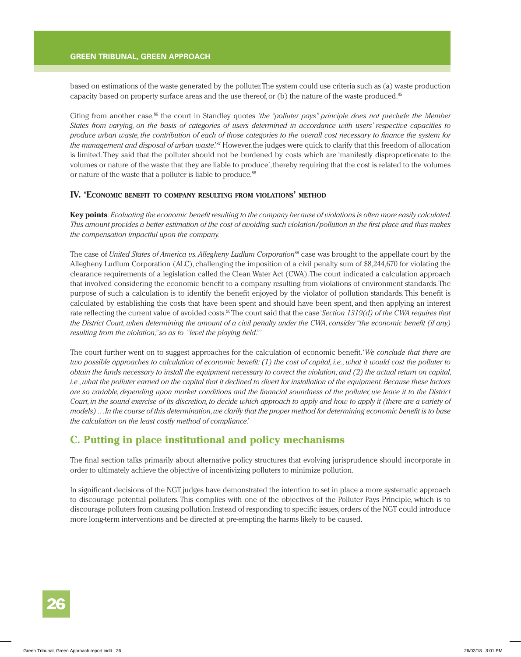based on estimations of the waste generated by the polluter. The system could use criteria such as (a) waste production capacity based on property surface areas and the use thereof, or (b) the nature of the waste produced.85

Citing from another case,<sup>86</sup> the court in Standley quotes *'the "polluter pays" principle does not preclude the Member States from varying, on the basis of categories of users determined in accordance with users' respective capacities to produce urban waste, the contribution of each of those categories to the overall cost necessary to finance the system for the management and disposal of urban waste*.'87 However, the judges were quick to clarify that this freedom of allocation is limited. They said that the polluter should not be burdened by costs which are 'manifestly disproportionate to the volumes or nature of the waste that they are liable to produce', thereby requiring that the cost is related to the volumes or nature of the waste that a polluter is liable to produce.<sup>88</sup>

#### **IV. 'Economic benefit to company resulting from violations' method**

**Key points**: *Evaluating the economic benefit resulting to the company because of violations is often more easily calculated. This amount provides a better estimation of the cost of avoiding such violation/pollution in the first place and thus makes the compensation impactful upon the company.*

The case of *United States of America vs. Allegheny Ludlum Corporation*89 case was brought to the appellate court by the Allegheny Ludlum Corporation (ALC), challenging the imposition of a civil penalty sum of \$8,244,670 for violating the clearance requirements of a legislation called the Clean Water Act (CWA). The court indicated a calculation approach that involved considering the economic benefit to a company resulting from violations of environment standards. The purpose of such a calculation is to identify the benefit enjoyed by the violator of pollution standards. This benefit is calculated by establishing the costs that have been spent and should have been spent, and then applying an interest rate reflecting the current value of avoided costs.<sup>90</sup> The court said that the case '*Section 1319(d)* of the CWA requires that *the District Court, when determining the amount of a civil penalty under the CWA, consider "the economic benefit (if any) resulting from the violation," so as to "level the playing field."'*

The court further went on to suggest approaches for the calculation of economic benefit. '*We conclude that there are two possible approaches to calculation of economic benefit: (1) the cost of capital, i.e., what it would cost the polluter to obtain the funds necessary to install the equipment necessary to correct the violation; and (2) the actual return on capital, i.e., what the polluter earned on the capital that it declined to divert for installation of the equipment. Because these factors are so variable, depending upon market conditions and the financial soundness of the polluter, we leave it to the District Court, in the sound exercise of its discretion, to decide which approach to apply and how to apply it (there are a variety of models) . . . In the course of this determination, we clarify that the proper method for determining economic benefit is to base the calculation on the least costly method of compliance.'*

## **C. Putting in place institutional and policy mechanisms**

The final section talks primarily about alternative policy structures that evolving jurisprudence should incorporate in order to ultimately achieve the objective of incentivizing polluters to minimize pollution.

In significant decisions of the NGT, judges have demonstrated the intention to set in place a more systematic approach to discourage potential polluters. This complies with one of the objectives of the Polluter Pays Principle, which is to discourage polluters from causing pollution. Instead of responding to specific issues, orders of the NGT could introduce more long-term interventions and be directed at pre-empting the harms likely to be caused.

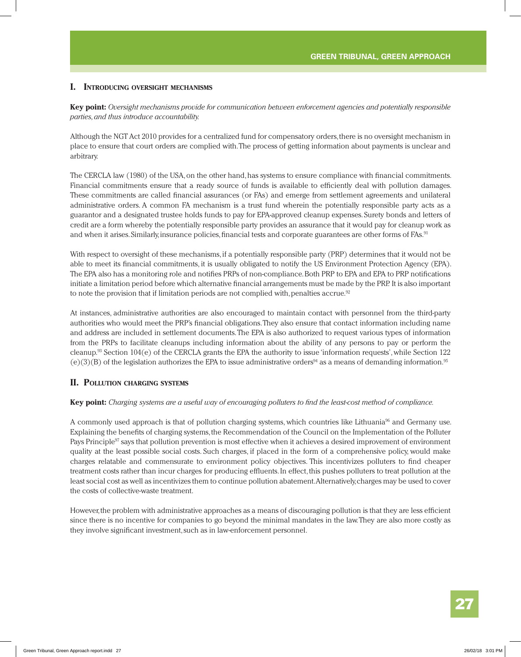#### **I. Introducing oversight mechanisms**

**Key point:** *Oversight mechanisms provide for communication between enforcement agencies and potentially responsible parties, and thus introduce accountability.*

Although the NGT Act 2010 provides for a centralized fund for compensatory orders, there is no oversight mechanism in place to ensure that court orders are complied with. The process of getting information about payments is unclear and arbitrary.

The CERCLA law (1980) of the USA, on the other hand, has systems to ensure compliance with financial commitments. Financial commitments ensure that a ready source of funds is available to efficiently deal with pollution damages. These commitments are called financial assurances (or FAs) and emerge from settlement agreements and unilateral administrative orders. A common FA mechanism is a trust fund wherein the potentially responsible party acts as a guarantor and a designated trustee holds funds to pay for EPA-approved cleanup expenses. Surety bonds and letters of credit are a form whereby the potentially responsible party provides an assurance that it would pay for cleanup work as and when it arises. Similarly, insurance policies, financial tests and corporate guarantees are other forms of FAs.91

With respect to oversight of these mechanisms, if a potentially responsible party (PRP) determines that it would not be able to meet its financial commitments, it is usually obligated to notify the US Environment Protection Agency (EPA). The EPA also has a monitoring role and notifies PRPs of non-compliance. Both PRP to EPA and EPA to PRP notifications initiate a limitation period before which alternative financial arrangements must be made by the PRP. It is also important to note the provision that if limitation periods are not complied with, penalties accrue.<sup>92</sup>

At instances, administrative authorities are also encouraged to maintain contact with personnel from the third-party authorities who would meet the PRP's financial obligations. They also ensure that contact information including name and address are included in settlement documents. The EPA is also authorized to request various types of information from the PRPs to facilitate cleanups including information about the ability of any persons to pay or perform the cleanup.<sup>93</sup> Section 104(e) of the CERCLA grants the EPA the authority to issue 'information requests', while Section 122 (e)(3)(B) of the legislation authorizes the EPA to issue administrative orders<sup>94</sup> as a means of demanding information.<sup>95</sup>

#### **II. Pollution charging systems**

#### **Key point:** *Charging systems are a useful way of encouraging polluters to find the least-cost method of compliance.*

A commonly used approach is that of pollution charging systems, which countries like Lithuania96 and Germany use. Explaining the benefits of charging systems, the Recommendation of the Council on the Implementation of the Polluter Pays Principle<sup>97</sup> says that pollution prevention is most effective when it achieves a desired improvement of environment quality at the least possible social costs. Such charges, if placed in the form of a comprehensive policy, would make charges relatable and commensurate to environment policy objectives. This incentivizes polluters to find cheaper treatment costs rather than incur charges for producing effluents. In effect, this pushes polluters to treat pollution at the least social cost as well as incentivizes them to continue pollution abatement. Alternatively, charges may be used to cover the costs of collective-waste treatment.

However, the problem with administrative approaches as a means of discouraging pollution is that they are less efficient since there is no incentive for companies to go beyond the minimal mandates in the law. They are also more costly as they involve significant investment, such as in law-enforcement personnel.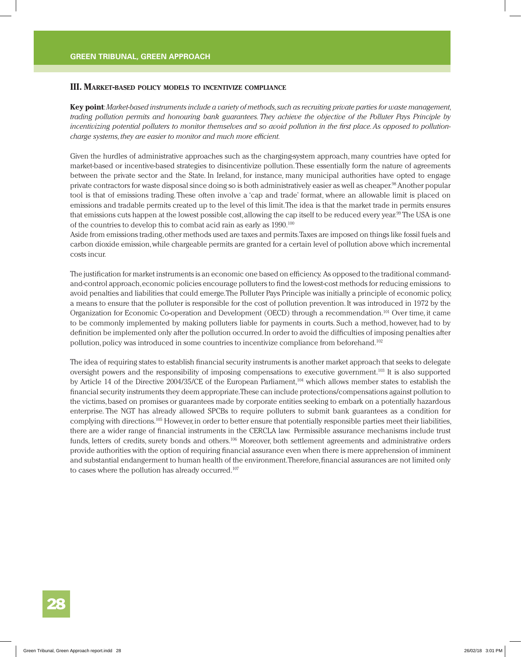#### **III. Market-based policy models to incentivize compliance**

**Key point**: *Market-based instruments include a variety of methods, such as recruiting private parties for waste management, trading pollution permits and honouring bank guarantees. They achieve the objective of the Polluter Pays Principle by incentivizing potential polluters to monitor themselves and so avoid pollution in the first place. As opposed to pollutioncharge systems, they are easier to monitor and much more efficient.* 

Given the hurdles of administrative approaches such as the charging-system approach, many countries have opted for market-based or incentive-based strategies to disincentivize pollution. These essentially form the nature of agreements between the private sector and the State. In Ireland, for instance, many municipal authorities have opted to engage private contractors for waste disposal since doing so is both administratively easier as well as cheaper.98 Another popular tool is that of emissions trading. These often involve a 'cap and trade' format, where an allowable limit is placed on emissions and tradable permits created up to the level of this limit. The idea is that the market trade in permits ensures that emissions cuts happen at the lowest possible cost, allowing the cap itself to be reduced every year.99 The USA is one of the countries to develop this to combat acid rain as early as 1990.100

Aside from emissions trading, other methods used are taxes and permits. Taxes are imposed on things like fossil fuels and carbon dioxide emission, while chargeable permits are granted for a certain level of pollution above which incremental costs incur.

The justification for market instruments is an economic one based on efficiency. As opposed to the traditional commandand-control approach, economic policies encourage polluters to find the lowest-cost methods for reducing emissions to avoid penalties and liabilities that could emerge. The Polluter Pays Principle was initially a principle of economic policy, a means to ensure that the polluter is responsible for the cost of pollution prevention. It was introduced in 1972 by the Organization for Economic Co-operation and Development (OECD) through a recommendation.101 Over time, it came to be commonly implemented by making polluters liable for payments in courts. Such a method, however, had to by definition be implemented only after the pollution occurred. In order to avoid the difficulties of imposing penalties after pollution, policy was introduced in some countries to incentivize compliance from beforehand.102

The idea of requiring states to establish financial security instruments is another market approach that seeks to delegate oversight powers and the responsibility of imposing compensations to executive government.103 It is also supported by Article 14 of the Directive 2004/35/CE of the European Parliament,<sup>104</sup> which allows member states to establish the financial security instruments they deem appropriate. These can include protections/compensations against pollution to the victims, based on promises or guarantees made by corporate entities seeking to embark on a potentially hazardous enterprise. The NGT has already allowed SPCBs to require polluters to submit bank guarantees as a condition for complying with directions.105 However, in order to better ensure that potentially responsible parties meet their liabilities, there are a wider range of financial instruments in the CERCLA law. Permissible assurance mechanisms include trust funds, letters of credits, surety bonds and others.106 Moreover, both settlement agreements and administrative orders provide authorities with the option of requiring financial assurance even when there is mere apprehension of imminent and substantial endangerment to human health of the environment. Therefore, financial assurances are not limited only to cases where the pollution has already occurred.107

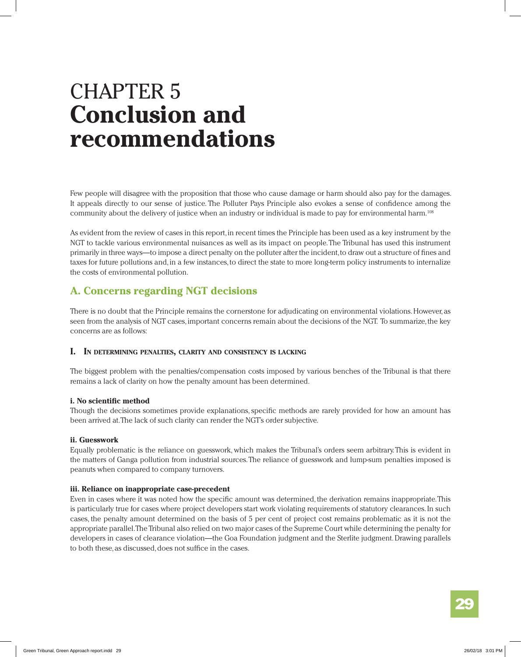## CHAPTER 5 **Conclusion and recommendations**

Few people will disagree with the proposition that those who cause damage or harm should also pay for the damages. It appeals directly to our sense of justice. The Polluter Pays Principle also evokes a sense of confidence among the community about the delivery of justice when an industry or individual is made to pay for environmental harm.108

As evident from the review of cases in this report, in recent times the Principle has been used as a key instrument by the NGT to tackle various environmental nuisances as well as its impact on people. The Tribunal has used this instrument primarily in three ways—to impose a direct penalty on the polluter after the incident, to draw out a structure of fines and taxes for future pollutions and, in a few instances, to direct the state to more long-term policy instruments to internalize the costs of environmental pollution.

## **A. Concerns regarding NGT decisions**

There is no doubt that the Principle remains the cornerstone for adjudicating on environmental violations. However, as seen from the analysis of NGT cases, important concerns remain about the decisions of the NGT. To summarize, the key concerns are as follows:

### **I. In determining penalties, clarity and consistency is lacking**

The biggest problem with the penalties/compensation costs imposed by various benches of the Tribunal is that there remains a lack of clarity on how the penalty amount has been determined.

#### **i. No scientific method**

Though the decisions sometimes provide explanations, specific methods are rarely provided for how an amount has been arrived at. The lack of such clarity can render the NGT's order subjective.

#### **ii. Guesswork**

Equally problematic is the reliance on guesswork, which makes the Tribunal's orders seem arbitrary. This is evident in the matters of Ganga pollution from industrial sources. The reliance of guesswork and lump-sum penalties imposed is peanuts when compared to company turnovers.

#### **iii. Reliance on inappropriate case-precedent**

Even in cases where it was noted how the specific amount was determined, the derivation remains inappropriate. This is particularly true for cases where project developers start work violating requirements of statutory clearances. In such cases, the penalty amount determined on the basis of 5 per cent of project cost remains problematic as it is not the appropriate parallel. The Tribunal also relied on two major cases of the Supreme Court while determining the penalty for developers in cases of clearance violation—the Goa Foundation judgment and the Sterlite judgment. Drawing parallels to both these, as discussed, does not suffice in the cases.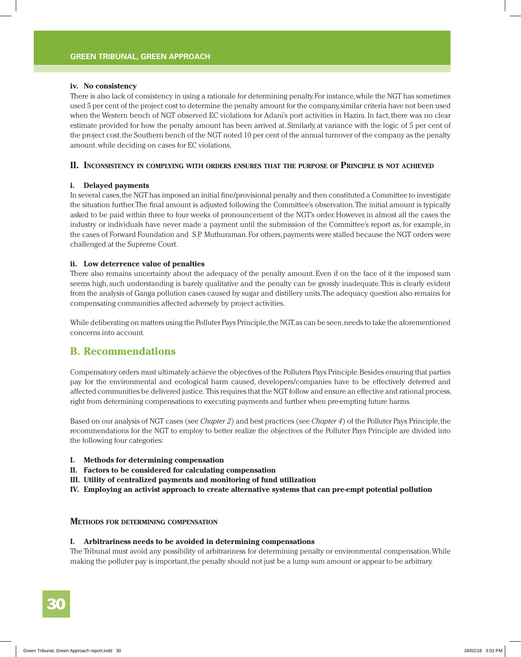#### **iv. No consistency**

There is also lack of consistency in using a rationale for determining penalty. For instance, while the NGT has sometimes used 5 per cent of the project cost to determine the penalty amount for the company, similar criteria have not been used when the Western bench of NGT observed EC violations for Adani's port activities in Hazira. In fact, there was no clear estimate provided for how the penalty amount has been arrived at. Similarly, at variance with the logic of 5 per cent of the project cost, the Southern bench of the NGT noted 10 per cent of the annual turnover of the company as the penalty amount. while deciding on cases for EC violations,

#### **II. Inconsistency in complying with orders ensures that the purpose of Principle is not achieved**

#### **i. Delayed payments**

In several cases, the NGT has imposed an initial fine/provisional penalty and then constituted a Committee to investigate the situation further. The final amount is adjusted following the Committee's observation. The initial amount is typically asked to be paid within three to four weeks of pronouncement of the NGT's order. However, in almost all the cases the industry or individuals have never made a payment until the submission of the Committee's report as, for example, in the cases of Forward Foundation and S.P. Muthuraman. For others, payments were stalled because the NGT orders were challenged at the Supreme Court.

#### **ii. Low deterrence value of penalties**

There also remains uncertainty about the adequacy of the penalty amount. Even if on the face of it the imposed sum seems high, such understanding is barely qualitative and the penalty can be grossly inadequate. This is clearly evident from the analysis of Ganga pollution cases caused by sugar and distillery units. The adequacy question also remains for compensating communities affected adversely by project activities.

While deliberating on matters using the Polluter Pays Principle, the NGT, as can be seen, needs to take the aforementioned concerns into account.

### **B. Recommendations**

Compensatory orders must ultimately achieve the objectives of the Polluters Pays Principle. Besides ensuring that parties pay for the environmental and ecological harm caused, developers/companies have to be effectively deterred and affected communities be delivered justice. This requires that the NGT follow and ensure an effective and rational process, right from determining compensations to executing payments and further when pre-empting future harms.

Based on our analysis of NGT cases (see *Chapter 2*) and best practices (see *Chapter 4*) of the Polluter Pays Principle, the recommendations for the NGT to employ to better realize the objectives of the Polluter Pays Principle are divided into the following four categories:

#### **I. Methods for determining compensation**

- **II. Factors to be considered for calculating compensation**
- **III. Utility of centralized payments and monitoring of fund utilization**
- **IV. Employing an activist approach to create alternative systems that can pre-empt potential pollution**

#### **Methods for determining compensation**

#### **I. Arbitrariness needs to be avoided in determining compensations**

The Tribunal must avoid any possibility of arbitrariness for determining penalty or environmental compensation. While making the polluter pay is important, the penalty should not just be a lump sum amount or appear to be arbitrary.

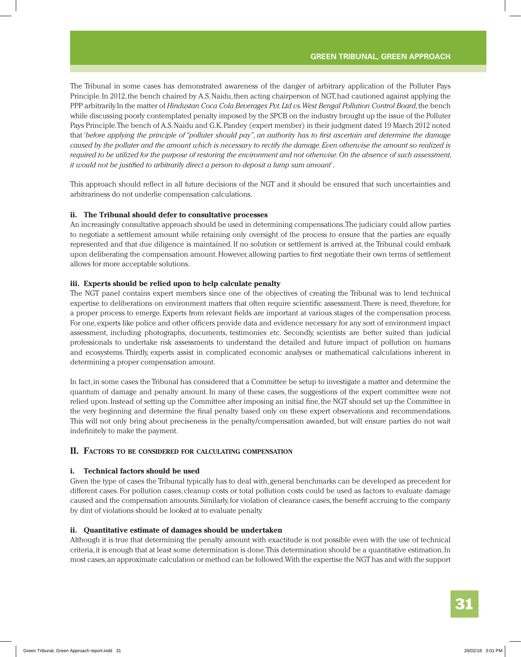The Tribunal in some cases has demonstrated awareness of the danger of arbitrary application of the Polluter Pays Principle. In 2012, the bench chaired by A.S. Naidu, then acting chairperson of NGT, had cautioned against applying the PPP arbitrarily. In the matter of *Hindustan Coca Cola Beverages Pvt. Ltd vs. West Bengal Pollution Control Board*, the bench while discussing poorly contemplated penalty imposed by the SPCB on the industry brought up the issue of the Polluter Pays Principle. The bench of A.S. Naidu and G.K. Pandey (expert member) in their judgment dated 19 March 2012 noted that '*before applying the principle of "polluter should pay", an authority has to first ascertain and determine the damage caused by the polluter and the amount which is necessary to rectify the damage. Even otherwise the amount so realized is required to be utilized for the purpose of restoring the environment and not otherwise. On the absence of such assessment, it would not be justified to arbitrarily direct a person to deposit a lump sum amount*'.

This approach should reflect in all future decisions of the NGT and it should be ensured that such uncertainties and arbitrariness do not underlie compensation calculations.

#### **ii. The Tribunal should defer to consultative processes**

An increasingly consultative approach should be used in determining compensations. The judiciary could allow parties to negotiate a settlement amount while retaining only oversight of the process to ensure that the parties are equally represented and that due diligence is maintained. If no solution or settlement is arrived at, the Tribunal could embark upon deliberating the compensation amount. However, allowing parties to first negotiate their own terms of settlement allows for more acceptable solutions.

#### **iii. Experts should be relied upon to help calculate penalty**

The NGT panel contains expert members since one of the objectives of creating the Tribunal was to lend technical expertise to deliberations on environment matters that often require scientific assessment. There is need, therefore, for a proper process to emerge. Experts from relevant fields are important at various stages of the compensation process. For one, experts like police and other officers provide data and evidence necessary for any sort of environment impact assessment, including photographs, documents, testimonies etc. Secondly, scientists are better suited than judicial professionals to undertake risk assessments to understand the detailed and future impact of pollution on humans and ecosystems. Thirdly, experts assist in complicated economic analyses or mathematical calculations inherent in determining a proper compensation amount.

In fact, in some cases the Tribunal has considered that a Committee be setup to investigate a matter and determine the quantum of damage and penalty amount. In many of these cases, the suggestions of the expert committee were not relied upon. Instead of setting up the Committee after imposing an initial fine, the NGT should set up the Committee in the very beginning and determine the final penalty based only on these expert observations and recommendations. This will not only bring about preciseness in the penalty/compensation awarded, but will ensure parties do not wait indefinitely to make the payment.

#### **II. Factors to be considered for calculating compensation**

#### **i. Technical factors should be used**

Given the type of cases the Tribunal typically has to deal with, general benchmarks can be developed as precedent for different cases. For pollution cases, cleanup costs or total pollution costs could be used as factors to evaluate damage caused and the compensation amounts. Similarly, for violation of clearance cases, the benefit accruing to the company by dint of violations should be looked at to evaluate penalty.

#### **ii. Quantitative estimate of damages should be undertaken**

Although it is true that determining the penalty amount with exactitude is not possible even with the use of technical criteria, it is enough that at least some determination is done. This determination should be a quantitative estimation. In most cases, an approximate calculation or method can be followed. With the expertise the NGT has and with the support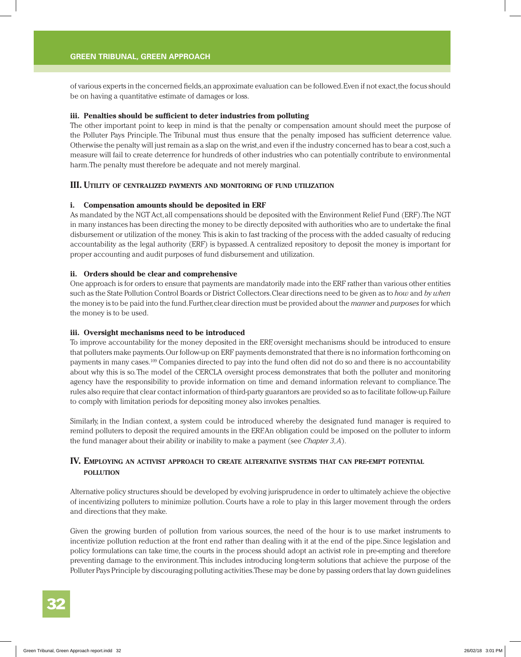of various experts in the concerned fields, an approximate evaluation can be followed. Even if not exact, the focus should be on having a quantitative estimate of damages or loss.

#### **iii. Penalties should be sufficient to deter industries from polluting**

The other important point to keep in mind is that the penalty or compensation amount should meet the purpose of the Polluter Pays Principle. The Tribunal must thus ensure that the penalty imposed has sufficient deterrence value. Otherwise the penalty will just remain as a slap on the wrist, and even if the industry concerned has to bear a cost, such a measure will fail to create deterrence for hundreds of other industries who can potentially contribute to environmental harm. The penalty must therefore be adequate and not merely marginal.

#### **III. Utility of centralized payments and monitoring of fund utilization**

#### **i. Compensation amounts should be deposited in ERF**

As mandated by the NGT Act, all compensations should be deposited with the Environment Relief Fund (ERF). The NGT in many instances has been directing the money to be directly deposited with authorities who are to undertake the final disbursement or utilization of the money. This is akin to fast tracking of the process with the added casualty of reducing accountability as the legal authority (ERF) is bypassed. A centralized repository to deposit the money is important for proper accounting and audit purposes of fund disbursement and utilization.

#### **ii. Orders should be clear and comprehensive**

One approach is for orders to ensure that payments are mandatorily made into the ERF rather than various other entities such as the State Pollution Control Boards or District Collectors. Clear directions need to be given as to *how* and *by when* the money is to be paid into the fund. Further, clear direction must be provided about the *manner* and *purposes* for which the money is to be used.

#### **iii. Oversight mechanisms need to be introduced**

To improve accountability for the money deposited in the ERF, oversight mechanisms should be introduced to ensure that polluters make payments. Our follow-up on ERF payments demonstrated that there is no information forthcoming on payments in many cases.109 Companies directed to pay into the fund often did not do so and there is no accountability about why this is so. The model of the CERCLA oversight process demonstrates that both the polluter and monitoring agency have the responsibility to provide information on time and demand information relevant to compliance. The rules also require that clear contact information of third-party guarantors are provided so as to facilitate follow-up. Failure to comply with limitation periods for depositing money also invokes penalties.

Similarly, in the Indian context, a system could be introduced whereby the designated fund manager is required to remind polluters to deposit the required amounts in the ERF. An obligation could be imposed on the polluter to inform the fund manager about their ability or inability to make a payment (see *Chapter 3, A*).

### **IV. Employing an activist approach to create alternative systems that can pre-empt potential pollution**

Alternative policy structures should be developed by evolving jurisprudence in order to ultimately achieve the objective of incentivizing polluters to minimize pollution. Courts have a role to play in this larger movement through the orders and directions that they make.

Given the growing burden of pollution from various sources, the need of the hour is to use market instruments to incentivize pollution reduction at the front end rather than dealing with it at the end of the pipe. Since legislation and policy formulations can take time, the courts in the process should adopt an activist role in pre-empting and therefore preventing damage to the environment. This includes introducing long-term solutions that achieve the purpose of the Polluter Pays Principle by discouraging polluting activities. These may be done by passing orders that lay down guidelines

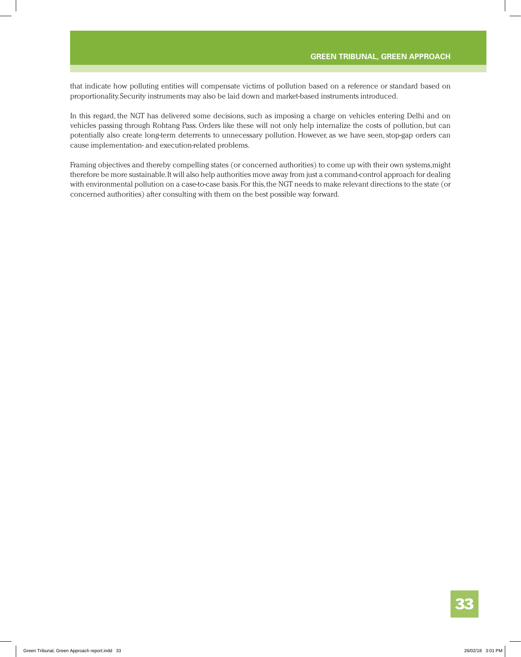that indicate how polluting entities will compensate victims of pollution based on a reference or standard based on proportionality. Security instruments may also be laid down and market-based instruments introduced.

In this regard, the NGT has delivered some decisions, such as imposing a charge on vehicles entering Delhi and on vehicles passing through Rohtang Pass. Orders like these will not only help internalize the costs of pollution, but can potentially also create long-term deterrents to unnecessary pollution. However, as we have seen, stop-gap orders can cause implementation- and execution-related problems.

Framing objectives and thereby compelling states (or concerned authorities) to come up with their own systems,might therefore be more sustainable. It will also help authorities move away from just a command-control approach for dealing with environmental pollution on a case-to-case basis. For this, the NGT needs to make relevant directions to the state (or concerned authorities) after consulting with them on the best possible way forward.

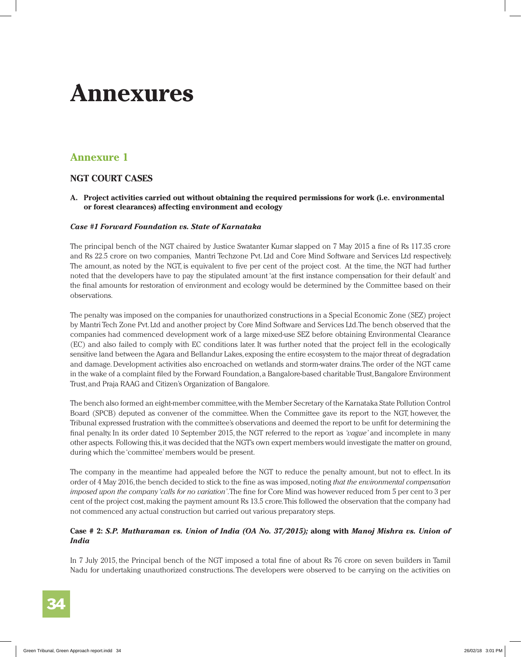## **Annexures**

## **Annexure 1**

### **NGT COURT CASES**

**A. Project activities carried out without obtaining the required permissions for work (i.e. environmental or forest clearances) affecting environment and ecology**

#### *Case #1 Forward Foundation vs. State of Karnataka*

The principal bench of the NGT chaired by Justice Swatanter Kumar slapped on 7 May 2015 a fine of Rs 117.35 crore and Rs 22.5 crore on two companies, Mantri Techzone Pvt. Ltd and Core Mind Software and Services Ltd respectively. The amount, as noted by the NGT, is equivalent to five per cent of the project cost. At the time, the NGT had further noted that the developers have to pay the stipulated amount 'at the first instance compensation for their default' and the final amounts for restoration of environment and ecology would be determined by the Committee based on their observations.

The penalty was imposed on the companies for unauthorized constructions in a Special Economic Zone (SEZ) project by Mantri Tech Zone Pvt. Ltd and another project by Core Mind Software and Services Ltd. The bench observed that the companies had commenced development work of a large mixed-use SEZ before obtaining Environmental Clearance (EC) and also failed to comply with EC conditions later. It was further noted that the project fell in the ecologically sensitive land between the Agara and Bellandur Lakes, exposing the entire ecosystem to the major threat of degradation and damage. Development activities also encroached on wetlands and storm-water drains. The order of the NGT came in the wake of a complaint filed by the Forward Foundation, a Bangalore-based charitable Trust, Bangalore Environment Trust, and Praja RAAG and Citizen's Organization of Bangalore.

The bench also formed an eight-member committee, with the Member Secretary of the Karnataka State Pollution Control Board (SPCB) deputed as convener of the committee. When the Committee gave its report to the NGT, however, the Tribunal expressed frustration with the committee's observations and deemed the report to be unfit for determining the final penalty. In its order dated 10 September 2015, the NGT referred to the report as *'vague'* and incomplete in many other aspects*.* Following this, it was decided that the NGT's own expert members would investigate the matter on ground, during which the 'committee' members would be present.

The company in the meantime had appealed before the NGT to reduce the penalty amount, but not to effect. In its order of 4 May 2016, the bench decided to stick to the fine as was imposed, noting *that the environmental compensation imposed upon the company 'calls for no variation'*. The fine for Core Mind was however reduced from 5 per cent to 3 per cent of the project cost, making the payment amount Rs 13.5 crore. This followed the observation that the company had not commenced any actual construction but carried out various preparatory steps.

#### **Case # 2:** *S.P. Muthuraman vs. Union of India (OA No. 37/2015);* **along with** *Manoj Mishra vs. Union of India*

In 7 July 2015, the Principal bench of the NGT imposed a total fine of about Rs 76 crore on seven builders in Tamil Nadu for undertaking unauthorized constructions. The developers were observed to be carrying on the activities on

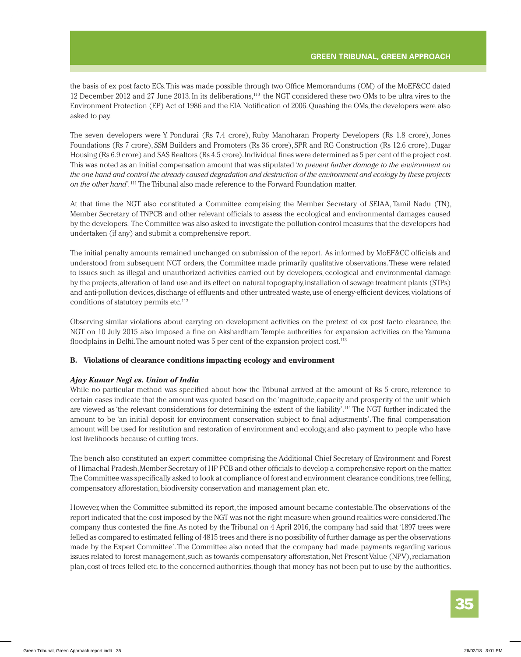the basis of ex post facto ECs. This was made possible through two Office Memorandums (OM) of the MoEF&CC dated 12 December 2012 and 27 June 2013. In its deliberations,110 the NGT considered these two OMs to be ultra vires to the Environment Protection (EP) Act of 1986 and the EIA Notification of 2006. Quashing the OMs, the developers were also asked to pay.

The seven developers were Y. Pondurai (Rs 7.4 crore), Ruby Manoharan Property Developers (Rs 1.8 crore), Jones Foundations (Rs 7 crore), SSM Builders and Promoters (Rs 36 crore), SPR and RG Construction (Rs 12.6 crore), Dugar Housing (Rs 6.9 crore) and SAS Realtors (Rs 4.5 crore). Individual fines were determined as 5 per cent of the project cost. This was noted as an initial compensation amount that was stipulated '*to prevent further damage to the environment on the one hand and control the already caused degradation and destruction of the environment and ecology by these projects on the other hand'.*111 The Tribunal also made reference to the Forward Foundation matter.

At that time the NGT also constituted a Committee comprising the Member Secretary of SEIAA, Tamil Nadu (TN), Member Secretary of TNPCB and other relevant officials to assess the ecological and environmental damages caused by the developers. The Committee was also asked to investigate the pollution-control measures that the developers had undertaken (if any) and submit a comprehensive report.

The initial penalty amounts remained unchanged on submission of the report. As informed by MoEF&CC officials and understood from subsequent NGT orders, the Committee made primarily qualitative observations. These were related to issues such as illegal and unauthorized activities carried out by developers, ecological and environmental damage by the projects, alteration of land use and its effect on natural topography, installation of sewage treatment plants (STPs) and anti-pollution devices, discharge of effluents and other untreated waste, use of energy-efficient devices, violations of conditions of statutory permits etc.112

Observing similar violations about carrying on development activities on the pretext of ex post facto clearance, the NGT on 10 July 2015 also imposed a fine on Akshardham Temple authorities for expansion activities on the Yamuna floodplains in Delhi. The amount noted was 5 per cent of the expansion project cost.<sup>113</sup>

#### **B. Violations of clearance conditions impacting ecology and environment**

#### *Ajay Kumar Negi vs. Union of India*

While no particular method was specified about how the Tribunal arrived at the amount of Rs 5 crore, reference to certain cases indicate that the amount was quoted based on the 'magnitude, capacity and prosperity of the unit' which are viewed as 'the relevant considerations for determining the extent of the liability'.114 The NGT further indicated the amount to be 'an initial deposit for environment conservation subject to final adjustments'. The final compensation amount will be used for restitution and restoration of environment and ecology, and also payment to people who have lost livelihoods because of cutting trees.

The bench also constituted an expert committee comprising the Additional Chief Secretary of Environment and Forest of Himachal Pradesh, Member Secretary of HP PCB and other officials to develop a comprehensive report on the matter. The Committee was specifically asked to look at compliance of forest and environment clearance conditions, tree felling, compensatory afforestation, biodiversity conservation and management plan etc.

However, when the Committee submitted its report, the imposed amount became contestable. The observations of the report indicated that the cost imposed by the NGT was not the right measure when ground realities were considered. The company thus contested the fine. As noted by the Tribunal on 4 April 2016, the company had said that '1897 trees were felled as compared to estimated felling of 4815 trees and there is no possibility of further damage as per the observations made by the Expert Committee'. The Committee also noted that the company had made payments regarding various issues related to forest management, such as towards compensatory afforestation, Net Present Value (NPV), reclamation plan, cost of trees felled etc. to the concerned authorities, though that money has not been put to use by the authorities.

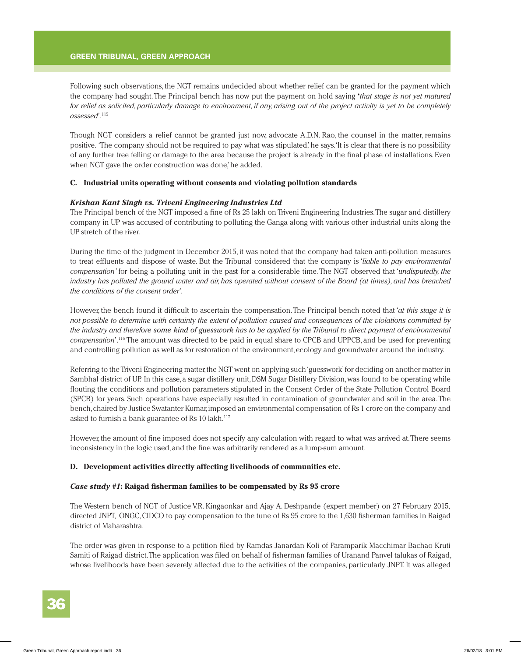Following such observations, the NGT remains undecided about whether relief can be granted for the payment which the company had sought. The Principal bench has now put the payment on hold saying **'***that stage is not yet matured for relief as solicited, particularly damage to environment, if any, arising out of the project activity is yet to be completely assessed*'.115

Though NGT considers a relief cannot be granted just now, advocate A.D.N. Rao, the counsel in the matter, remains positive. 'The company should not be required to pay what was stipulated,' he says. 'It is clear that there is no possibility of any further tree felling or damage to the area because the project is already in the final phase of installations. Even when NGT gave the order construction was done, he added.

#### **C. Industrial units operating without consents and violating pollution standards**

#### *Krishan Kant Singh vs. Triveni Engineering Industries Ltd*

The Principal bench of the NGT imposed a fine of Rs 25 lakh on Triveni Engineering Industries. The sugar and distillery company in UP was accused of contributing to polluting the Ganga along with various other industrial units along the UP stretch of the river.

During the time of the judgment in December 2015, it was noted that the company had taken anti-pollution measures to treat effluents and dispose of waste. But the Tribunal considered that the company is '*liable to pay environmental compensation'* for being a polluting unit in the past for a considerable time. The NGT observed that '*undisputedly, the industry has polluted the ground water and air, has operated without consent of the Board (at times), and has breached the conditions of the consent order'.* 

However, the bench found it difficult to ascertain the compensation. The Principal bench noted that '*at this stage it is not possible to determine with certainty the extent of pollution caused and consequences of the violations committed by the industry and therefore some kind of guesswork has to be applied by the Tribunal to direct payment of environmental compensation*'.116 The amount was directed to be paid in equal share to CPCB and UPPCB, and be used for preventing and controlling pollution as well as for restoration of the environment, ecology and groundwater around the industry.

Referring to the Triveni Engineering matter, the NGT went on applying such 'guesswork' for deciding on another matter in Sambhal district of UP. In this case, a sugar distillery unit, DSM Sugar Distillery Division, was found to be operating while flouting the conditions and pollution parameters stipulated in the Consent Order of the State Pollution Control Board (SPCB) for years. Such operations have especially resulted in contamination of groundwater and soil in the area. The bench, chaired by Justice Swatanter Kumar, imposed an environmental compensation of Rs 1 crore on the company and asked to furnish a bank guarantee of Rs 10 lakh.<sup>117</sup>

However, the amount of fine imposed does not specify any calculation with regard to what was arrived at. There seems inconsistency in the logic used, and the fine was arbitrarily rendered as a lump-sum amount.

#### **D. Development activities directly affecting livelihoods of communities etc.**

#### *Case study #1***: Raigad fisherman families to be compensated by Rs 95 crore**

The Western bench of NGT of Justice V.R. Kingaonkar and Ajay A. Deshpande (expert member) on 27 February 2015*,* directed JNPT, ONGC, CIDCO to pay compensation to the tune of Rs 95 crore to the 1,630 fisherman families in Raigad district of Maharashtra.

The order was given in response to a petition filed by Ramdas Janardan Koli of Paramparik Macchimar Bachao Kruti Samiti of Raigad district. The application was filed on behalf of fisherman families of Uranand Panvel talukas of Raigad, whose livelihoods have been severely affected due to the activities of the companies, particularly JNPT. It was alleged

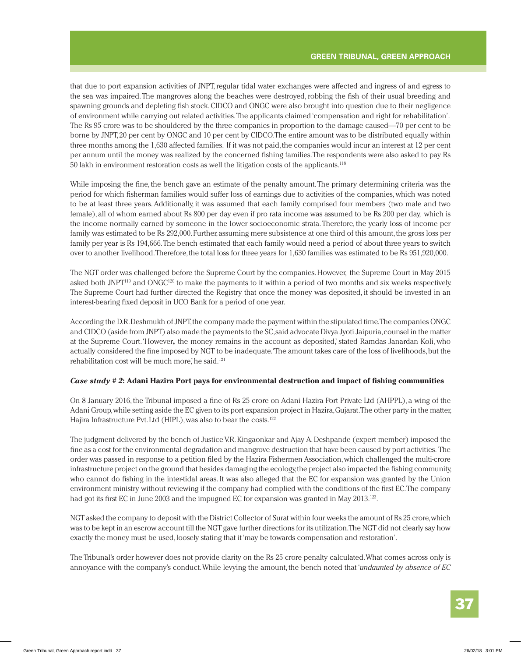that due to port expansion activities of JNPT, regular tidal water exchanges were affected and ingress of and egress to the sea was impaired. The mangroves along the beaches were destroyed, robbing the fish of their usual breeding and spawning grounds and depleting fish stock. CIDCO and ONGC were also brought into question due to their negligence of environment while carrying out related activities. The applicants claimed 'compensation and right for rehabilitation'. The Rs 95 crore was to be shouldered by the three companies in proportion to the damage caused—70 per cent to be borne by JNPT, 20 per cent by ONGC and 10 per cent by CIDCO. The entire amount was to be distributed equally within three months among the 1,630 affected families. If it was not paid, the companies would incur an interest at 12 per cent per annum until the money was realized by the concerned fishing families. The respondents were also asked to pay Rs 50 lakh in environment restoration costs as well the litigation costs of the applicants.118

While imposing the fine, the bench gave an estimate of the penalty amount. The primary determining criteria was the period for which fisherman families would suffer loss of earnings due to activities of the companies, which was noted to be at least three years. Additionally, it was assumed that each family comprised four members (two male and two female), all of whom earned about Rs 800 per day even if pro rata income was assumed to be Rs 200 per day, which is the income normally earned by someone in the lower socioeconomic strata. Therefore, the yearly loss of income per family was estimated to be Rs 292,000. Further, assuming mere subsistence at one third of this amount, the gross loss per family per year is Rs 194,666. The bench estimated that each family would need a period of about three years to switch over to another livelihood. Therefore, the total loss for three years for 1,630 families was estimated to be Rs 951,920,000.

The NGT order was challenged before the Supreme Court by the companies. However, the Supreme Court in May 2015 asked both JNPT119 and ONGC120 to make the payments to it within a period of two months and six weeks respectively. The Supreme Court had further directed the Registry that once the money was deposited, it should be invested in an interest-bearing fixed deposit in UCO Bank for a period of one year.

According the D.R. Deshmukh of JNPT, the company made the payment within the stipulated time. The companies ONGC and CIDCO (aside from JNPT) also made the payments to the SC, said advocate Divya Jyoti Jaipuria, counsel in the matter at the Supreme Court. 'However**,** the money remains in the account as deposited,' stated Ramdas Janardan Koli, who actually considered the fine imposed by NGT to be inadequate. 'The amount takes care of the loss of livelihoods, but the rehabilitation cost will be much more,' he said.<sup>121</sup>

#### *Case study # 2***: Adani Hazira Port pays for environmental destruction and impact of fishing communities**

On 8 January 2016, the Tribunal imposed a fine of Rs 25 crore on Adani Hazira Port Private Ltd (AHPPL), a wing of the Adani Group, while setting aside the EC given to its port expansion project in Hazira, Gujarat. The other party in the matter, Hajira Infrastructure Pvt. Ltd (HIPL), was also to bear the costs.<sup>122</sup>

The judgment delivered by the bench of Justice V.R. Kingaonkar and Ajay A. Deshpande (expert member) imposed the fine as a cost for the environmental degradation and mangrove destruction that have been caused by port activities. The order was passed in response to a petition filed by the Hazira Fishermen Association, which challenged the multi-crore infrastructure project on the ground that besides damaging the ecology, the project also impacted the fishing community, who cannot do fishing in the inter-tidal areas. It was also alleged that the EC for expansion was granted by the Union environment ministry without reviewing if the company had complied with the conditions of the first EC. The company had got its first EC in June 2003 and the impugned EC for expansion was granted in May 2013.<sup>123</sup>.

NGT asked the company to deposit with the District Collector of Surat within four weeks the amount of Rs 25 crore, which was to be kept in an escrow account till the NGT gave further directions for its utilization. The NGT did not clearly say how exactly the money must be used, loosely stating that it 'may be towards compensation and restoration'.

The Tribunal's order however does not provide clarity on the Rs 25 crore penalty calculated. What comes across only is annoyance with the company's conduct. While levying the amount, the bench noted that '*undaunted by absence of EC*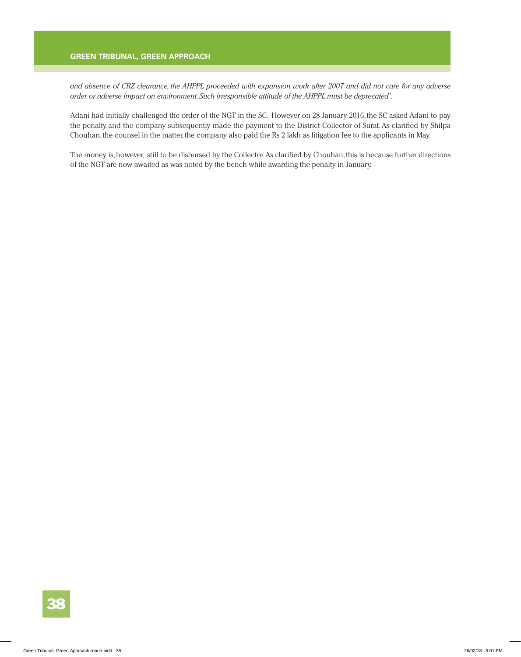#### **GREEN TRIBUNAL, GREEN APPROACH**

*and absence of CRZ clearance, the AHPPL proceeded with expansion work after 2007 and did not care for any adverse order or adverse impact on environment. Such irresponsible attitude of the AHPPL must be deprecated'*.

Adani had initially challenged the order of the NGT in the SC. However on 28 January 2016, the SC asked Adani to pay the penalty, and the company subsequently made the payment to the District Collector of Surat. As clarified by Shilpa Chouhan, the counsel in the matter, the company also paid the Rs 2 lakh as litigation fee to the applicants in May.

The money is, however, still to be disbursed by the Collector. As clarified by Chouhan, this is because further directions of the NGT are now awaited as was noted by the bench while awarding the penalty in January.

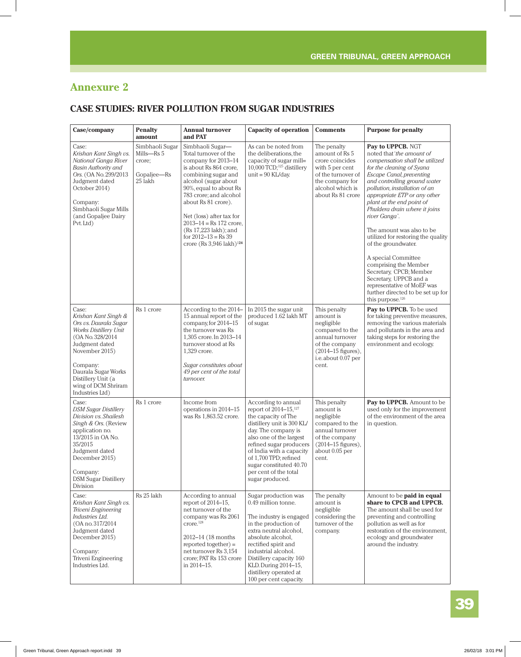## **Annexure 2**

## **CASE STUDIES: RIVER POLLUTION FROM SUGAR INDUSTRIES**

| Case/company                                                                                                                                                                                                                               | <b>Penalty</b><br>amount                                          | <b>Annual turnover</b><br>and PAT                                                                                                                                                                                                                                                                                                                                         | <b>Capacity of operation</b>                                                                                                                                                                                                                                                                                           | <b>Comments</b>                                                                                                                                       | <b>Purpose for penalty</b>                                                                                                                                                                                                                                                                                                                                                                                                                                                                                                                                                                                                  |
|--------------------------------------------------------------------------------------------------------------------------------------------------------------------------------------------------------------------------------------------|-------------------------------------------------------------------|---------------------------------------------------------------------------------------------------------------------------------------------------------------------------------------------------------------------------------------------------------------------------------------------------------------------------------------------------------------------------|------------------------------------------------------------------------------------------------------------------------------------------------------------------------------------------------------------------------------------------------------------------------------------------------------------------------|-------------------------------------------------------------------------------------------------------------------------------------------------------|-----------------------------------------------------------------------------------------------------------------------------------------------------------------------------------------------------------------------------------------------------------------------------------------------------------------------------------------------------------------------------------------------------------------------------------------------------------------------------------------------------------------------------------------------------------------------------------------------------------------------------|
| Case:<br>Krishan Kant Singh vs.<br>National Ganga River<br><b>Basin Authority and</b><br>Ors. (OA No. 299/2013)<br>Judgment dated<br>October 2014)<br>Company:<br>Simbhaoli Sugar Mills<br>(and Gopaljee Dairy<br>Pvt. Ltd                 | Simbhaoli Sugar<br>Mills-Rs 5<br>crore;<br>Gopaljee—Rs<br>25 lakh | Simbhaoli Sugar-<br>Total turnover of the<br>company for 2013-14<br>is about Rs 864 crore,<br>combining sugar and<br>alcohol (sugar about<br>90%, equal to about Rs<br>783 crore; and alcohol<br>about Rs 81 crore).<br>Net (loss) after tax for<br>2013–14 = Rs 172 crore,<br>(Rs 17,223 lakh); and<br>for $2012 - 13 =$ Rs 39<br>crore (Rs $3,946$ lakh) <sup>124</sup> | As can be noted from<br>the deliberations, the<br>capacity of sugar mill=<br>$10,000$ TCD; <sup>125</sup> distillery<br>unit = $90$ KL/day.                                                                                                                                                                            | The penalty<br>amount of Rs 5<br>crore coincides<br>with 5 per cent<br>of the turnover of<br>the company for<br>alcohol which is<br>about Rs 81 crore | Pay to UPPCB. NGT<br>noted that 'the amount of<br>compensation shall be utilized<br>for the cleaning of Syana<br>Escape Canal, preventing<br>and controlling ground water<br>pollution, installation of an<br>appropriate ETP or any other<br>plant at the end point of<br>Phuldera drain where it joins<br>river Ganga'.<br>The amount was also to be<br>utilized for restoring the quality<br>of the groundwater.<br>A special Committee<br>comprising the Member<br>Secretary, CPCB; Member<br>Secretary, UPPCB and a<br>representative of MoEF was<br>further directed to be set up for<br>this purpose. <sup>126</sup> |
| Case:<br>Krishan Kant Singh &<br>Ors vs. Daurala Sugar<br>Works Distillery Unit<br>(OA No. 328/2014<br>Judgment dated<br>November 2015)<br>Company:<br>Daurala Sugar Works<br>Distillery Unit (a<br>wing of DCM Shriram<br>Industries Ltd) | Rs 1 crore                                                        | According to the 2014-<br>15 annual report of the<br>company, for 2014-15<br>the turnover was Rs<br>1,305 crore. In 2013-14<br>turnover stood at Rs<br>1,329 crore.<br>Sugar constitutes about<br>49 per cent of the total<br>turnover.                                                                                                                                   | In 2015 the sugar unit<br>produced 1.62 lakh MT<br>of sugar.                                                                                                                                                                                                                                                           | This penalty<br>amount is<br>negligible<br>compared to the<br>annual turnover<br>of the company<br>(2014-15 figures),<br>i.e.about 0.07 per<br>cent.  | Pay to UPPCB. To be used<br>for taking preventive measures,<br>removing the various materials<br>and pollutants in the area and<br>taking steps for restoring the<br>environment and ecology.                                                                                                                                                                                                                                                                                                                                                                                                                               |
| Case:<br><b>DSM Sugar Distillery</b><br>Division vs. Shailesh<br>Singh & Ors. (Review<br>application no.<br>13/2015 in OA No.<br>35/2015<br>Judgment dated<br>December 2015)<br>Company:<br><b>DSM Sugar Distillery</b><br>Division        | Rs 1 crore                                                        | Income from<br>operations in 2014-15<br>was Rs 1,863.52 crore.                                                                                                                                                                                                                                                                                                            | According to annual<br>report of 2014-15, <sup>127</sup><br>the capacity of The<br>distillery unit is 300 KL/<br>day. The company is<br>also one of the largest<br>refined sugar producers<br>of India with a capacity<br>of 1,700 TPD; refined<br>sugar constituted 40.70<br>per cent of the total<br>sugar produced. | This penalty<br>amount is<br>negligible<br>compared to the<br>annual turnover<br>of the company<br>(2014-15 figures),<br>about 0.05 per<br>cent.      | Pay to UPPCB. Amount to be<br>used only for the improvement<br>of the environment of the area<br>in question.                                                                                                                                                                                                                                                                                                                                                                                                                                                                                                               |
| Case:<br>Krishan Kant Singh vs.<br>Triveni Engineering<br>Industries Ltd.<br>(OA no.317/2014)<br>Judgment dated<br>December 2015)<br>Company:<br>Triveni Engineering<br>Industries Ltd.                                                    | Rs 25 lakh                                                        | According to annual<br>report of 2014-15,<br>net turnover of the<br>company was Rs 2061<br>$c$ rore. $^{128}$<br>2012-14 (18 months)<br>$reported together) =$<br>net turnover Rs 3,154<br>crore; PAT Rs 153 crore<br>in 2014-15.                                                                                                                                         | Sugar production was<br>0.49 million tonne.<br>The industry is engaged<br>in the production of<br>extra neutral alcohol.<br>absolute alcohol,<br>rectified spirit and<br>industrial alcohol.<br>Distillery capacity 160<br>KLD. During 2014-15,<br>distillery operated at<br>100 per cent capacity.                    | The penalty<br>amount is<br>negligible<br>considering the<br>turnover of the<br>company.                                                              | Amount to be paid in equal<br>share to CPCB and UPPCB.<br>The amount shall be used for<br>preventing and controlling<br>pollution as well as for<br>restoration of the environment,<br>ecology and groundwater<br>around the industry.                                                                                                                                                                                                                                                                                                                                                                                      |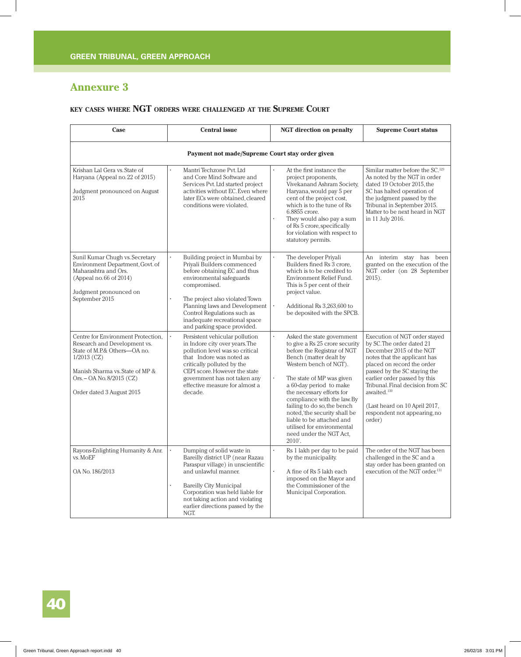## **Annexure 3**

### **key cases where NGT orders were challenged at the Supreme Court**

| Case                                                                                                                                                                                                             | <b>Central issue</b>                                                                                                                                                                                                                                                                                      | <b>NGT</b> direction on penalty                                                                                                                                                                                                                                                                                                                                                                                                                               | <b>Supreme Court status</b>                                                                                                                                                                                                                                                                                                                                    |  |  |  |  |
|------------------------------------------------------------------------------------------------------------------------------------------------------------------------------------------------------------------|-----------------------------------------------------------------------------------------------------------------------------------------------------------------------------------------------------------------------------------------------------------------------------------------------------------|---------------------------------------------------------------------------------------------------------------------------------------------------------------------------------------------------------------------------------------------------------------------------------------------------------------------------------------------------------------------------------------------------------------------------------------------------------------|----------------------------------------------------------------------------------------------------------------------------------------------------------------------------------------------------------------------------------------------------------------------------------------------------------------------------------------------------------------|--|--|--|--|
| Payment not made/Supreme Court stay order given                                                                                                                                                                  |                                                                                                                                                                                                                                                                                                           |                                                                                                                                                                                                                                                                                                                                                                                                                                                               |                                                                                                                                                                                                                                                                                                                                                                |  |  |  |  |
| Krishan Lal Gera vs. State of<br>Haryana (Appeal no. 22 of 2015)<br>Judgment pronounced on August<br>2015                                                                                                        | Mantri Techzone Pvt. Ltd<br>and Core Mind Software and<br>Services Pvt. Ltd started project<br>activities without EC. Even where<br>later ECs were obtained, cleared<br>conditions were violated.                                                                                                         | At the first instance the<br>project proponents,<br>Vivekanand Ashram Society,<br>Haryana, would pay 5 per<br>cent of the project cost,<br>which is to the tune of Rs<br>6.8855 crore.<br>$\ddot{\phantom{0}}$<br>They would also pay a sum<br>of Rs 5 crore, specifically<br>for violation with respect to<br>statutory permits.                                                                                                                             | Similar matter before the SC. <sup>129</sup><br>As noted by the NGT in order<br>dated 19 October 2015, the<br>SC has halted operation of<br>the judgment passed by the<br>Tribunal in September 2015.<br>Matter to be next heard in NGT<br>in 11 July 2016.                                                                                                    |  |  |  |  |
| Sunil Kumar Chugh vs. Secretary<br>Environment Department, Govt. of<br>Maharashtra and Ors.<br>(Appeal no. $66$ of $2014$ )<br>Judgment pronounced on<br>September 2015                                          | Building project in Mumbai by<br>Priyali Builders commenced<br>before obtaining EC and thus<br>environmental safeguards<br>compromised.<br>The project also violated Town<br>Planning laws and Development<br>Control Regulations such as<br>inadequate recreational space<br>and parking space provided. | The developer Priyali<br>Builders fined Rs 3 crore.<br>which is to be credited to<br>Environment Relief Fund.<br>This is 5 per cent of their<br>project value.<br>$\ddot{\phantom{0}}$<br>Additional Rs 3,263,600 to<br>be deposited with the SPCB.                                                                                                                                                                                                           | An interim stay has been<br>granted on the execution of the<br>NGT order (on 28 September<br>$2015$ ).                                                                                                                                                                                                                                                         |  |  |  |  |
| Centre for Environment Protection,<br>Research and Development vs.<br>State of M.P.& Others-OA no.<br>$1/2013$ (CZ)<br>Manish Sharma vs. State of MP &<br>Ors. - OA No. 8/2015 (CZ)<br>Order dated 3 August 2015 | Persistent vehicular pollution<br>in Indore city over years. The<br>pollution level was so critical<br>that Indore was noted as<br>critically polluted by the<br>CEPI score. However the state<br>government has not taken any<br>effective measure for almost a<br>decade.                               | $\ddot{\phantom{a}}$<br>Asked the state government<br>to give a Rs 25 crore security<br>before the Registrar of NGT<br>Bench (matter dealt by<br>Western bench of NGT).<br>The state of MP was given<br>a 60-day period to make<br>the necessary efforts for<br>compliance with the law. By<br>failing to do so, the bench<br>noted, the security shall be<br>liable to be attached and<br>utilised for environmental<br>need under the NGT Act,<br>$2010'$ . | Execution of NGT order stayed<br>by SC. The order dated 21<br>December 2015 of the NGT<br>notes that the applicant has<br>placed on record the order<br>passed by the SC staying the<br>earlier order passed by this<br>Tribunal. Final decision from SC<br>awaited. <sup>130</sup><br>(Last heard on 10 April 2017,<br>respondent not appearing, no<br>order) |  |  |  |  |
| Rayons-Enlighting Humanity & Anr.<br>vs. MoEF<br>OA No. 186/2013                                                                                                                                                 | Dumping of solid waste in<br>Bareilly district UP (near Razau<br>Paraspur village) in unscientific<br>and unlawful manner.<br><b>Bareilly City Municipal</b><br>$\ddot{\phantom{0}}$<br>Corporation was held liable for<br>not taking action and violating<br>earlier directions passed by the<br>NGT.    | Rs 1 lakh per day to be paid<br>$\ddot{\phantom{0}}$<br>by the municipality.<br>$\ddot{\phantom{0}}$<br>A fine of Rs 5 lakh each<br>imposed on the Mayor and<br>the Commissioner of the<br>Municipal Corporation.                                                                                                                                                                                                                                             | The order of the NGT has been<br>challenged in the SC and a<br>stay order has been granted on<br>execution of the NGT order. <sup>131</sup>                                                                                                                                                                                                                    |  |  |  |  |

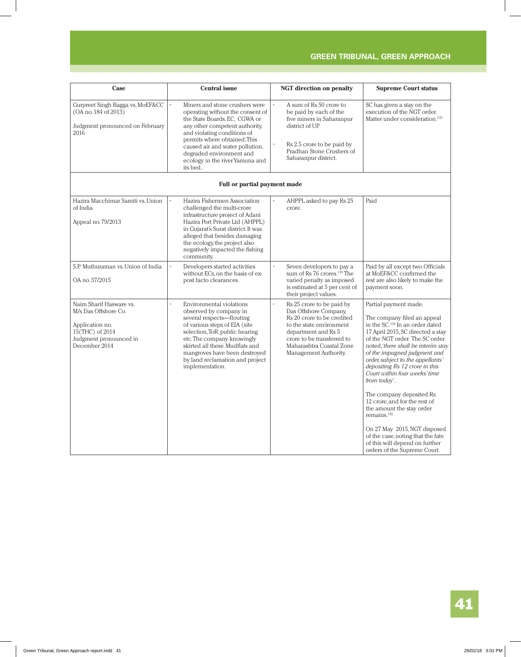## **GREEN TRIBUNAL, GREEN APPROACH**

| Case                                                                                                                             | <b>Central issue</b>                                                                                                                                                                                                                                                                                                               | <b>NGT</b> direction on penalty                                                                                                                                                                                                     | <b>Supreme Court status</b>                                                                                                                                                                                                                                                                                                                                                                                                                                                                                                                                                                                                 |  |  |  |
|----------------------------------------------------------------------------------------------------------------------------------|------------------------------------------------------------------------------------------------------------------------------------------------------------------------------------------------------------------------------------------------------------------------------------------------------------------------------------|-------------------------------------------------------------------------------------------------------------------------------------------------------------------------------------------------------------------------------------|-----------------------------------------------------------------------------------------------------------------------------------------------------------------------------------------------------------------------------------------------------------------------------------------------------------------------------------------------------------------------------------------------------------------------------------------------------------------------------------------------------------------------------------------------------------------------------------------------------------------------------|--|--|--|
| Gurpreet Singh Bagga vs. MoEF&CC<br>(OA no. 184 of 2013)<br>Judgment pronounced on February<br>2016                              | Miners and stone crushers were<br>operating without the consent of<br>the State Boards, EC, CGWA or<br>any other competent authority,<br>and violating conditions of<br>permits where obtained. This<br>caused air and water pollution,<br>degraded environment and<br>ecology in the river Yamuna and<br>its bed                  | A sum of Rs 50 crore to<br>be paid by each of the<br>five miners in Saharanpur<br>district of UP.<br>$\cdot$<br>Rs 2.5 crore to be paid by<br>Pradhan Stone Crushers of<br>Saharanpur district.                                     | SC has given a stay on the<br>execution of the NGT order.<br>Matter under consideration. <sup>132</sup>                                                                                                                                                                                                                                                                                                                                                                                                                                                                                                                     |  |  |  |
| <b>Full or partial payment made</b>                                                                                              |                                                                                                                                                                                                                                                                                                                                    |                                                                                                                                                                                                                                     |                                                                                                                                                                                                                                                                                                                                                                                                                                                                                                                                                                                                                             |  |  |  |
| Hazira Macchimar Samiti vs. Union<br>of India<br>Appeal no. 79/2013                                                              | Hazira Fishermen Association<br>challenged the multi-crore<br>infrastructure project of Adani<br>Hazira Port Private Ltd (AHPPL)<br>in Gujarat's Surat district. It was<br>alleged that besides damaging<br>the ecology, the project also<br>negatively impacted the fishing<br>community.                                         | AHPPL asked to pay Rs 25<br>crore.                                                                                                                                                                                                  | Paid                                                                                                                                                                                                                                                                                                                                                                                                                                                                                                                                                                                                                        |  |  |  |
| S.P. Muthuraman vs. Union of India<br>OA no.37/2015                                                                              | Developers started activities<br>without ECs, on the basis of ex-<br>post facto clearances.                                                                                                                                                                                                                                        | $\ddot{\phantom{a}}$<br>Seven developers to pay a<br>sum of Rs 76 crores. <sup>133</sup> The<br>varied penalty as imposed<br>is estimated at 5 per cent of<br>their project values.                                                 | Paid by all except two. Officials<br>at MoEF&CC confirmed the<br>rest are also likely to make the<br>payment soon.                                                                                                                                                                                                                                                                                                                                                                                                                                                                                                          |  |  |  |
| Naim Sharif Hasware vs.<br>M/s Das Offshore Co.<br>Application no.<br>15(THC) of 2014<br>Judgment pronounced in<br>December 2014 | Environmental violations<br>$\ddot{\phantom{0}}$<br>observed by company in<br>several respects-flouting<br>of various steps of EIA (site<br>selection, ToR, public hearing<br>etc. The company knowingly<br>skirted all these. Mudflats and<br>mangroves have been destroyed<br>by land reclamation and project<br>implementation. | $\bullet$<br>Rs 25 crore to be paid by<br>Das Offshore Company,<br>Rs 20 crore to be credited<br>to the state environment<br>department and Rs 5<br>crore to be transferred to<br>Maharashtra Coastal Zone<br>Management Authority. | Partial payment made.<br>The company filed an appeal<br>in the SC. <sup>134</sup> In an order dated<br>17 April 2015, SC directed a stay<br>of the NGT order. The SC order<br>noted, there shall be interim stay<br>of the impugned judgment and<br>order, subject to the appellants'<br>depositing Rs 12 crore in this<br>Court within four weeks' time<br>from today'.<br>The company deposited Rs<br>12 crore, and for the rest of<br>the amount the stay order<br>remains. $135$<br>On 27 May 2015, NGT disposed<br>of the case, noting that the fate<br>of this will depend on further<br>orders of the Supreme Court. |  |  |  |

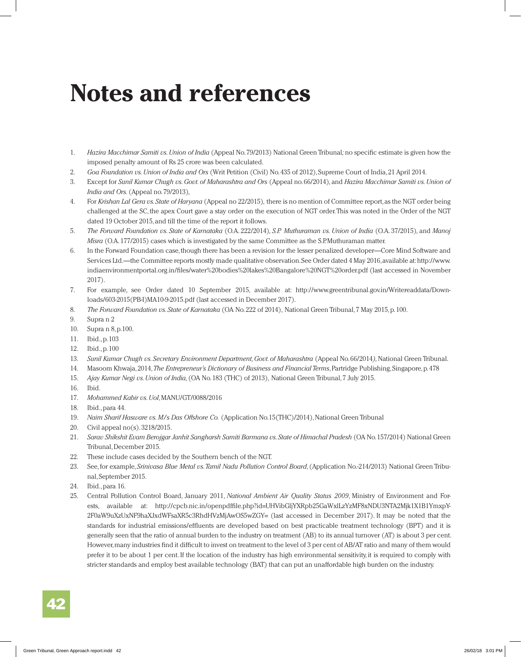## **Notes and references**

- 1. *Hazira Macchimar Samiti vs. Union of India* (Appeal No. 79/2013) National Green Tribunal*;* no specific estimate is given how the imposed penalty amount of Rs 25 crore was been calculated.
- 2. *Goa Foundation vs. Union of India and Ors* (Writ Petition (Civil) No. 435 of 2012), Supreme Court of India, 21 April 2014.
- 3. Except for *Sunil Kumar Chugh vs. Govt. of Maharashtra and Ors* (Appeal no. 66/2014)*,* and *Hazira Macchimar Samiti vs. Union of India and Ors.* (Appeal no. 79/2013)*,*
- 4. For *Krishan Lal Gera vs. State of Haryana* (Appeal no 22/2015)*,* there is no mention of Committee report, as the NGT order being challenged at the SC, the apex Court gave a stay order on the execution of NGT order. This was noted in the Order of the NGT dated 19 October 2015, and till the time of the report it follows.
- 5. *The Forward Foundation vs. State of Karnataka* (O.A. 222/2014)*, S.P. Muthuraman vs. Union of India* (O.A. 37/2015)*,* and *Manoj Misra* (O.A. 177/2015) cases which is investigated by the same Committee as the S.P. Muthuraman matter.
- 6. In the Forward Foundation case, though there has been a revision for the lesser penalized developer—Core Mind Software and Services Ltd.—the Committee reports mostly made qualitative observation. See Order dated 4 May 2016, available at: http://www. indiaenvironmentportal.org.in/files/water%20bodies%20lakes%20Bangalore%20NGT%20order.pdf (last accessed in November 2017).
- 7. For example, see Order dated 10 September 2015, available at: http://www.greentribunal.gov.in/Writereaddata/Downloads/603-2015(PB-I)MA10-9-2015.pdf (last accessed in December 2017).
- 8. *The Forward Foundation vs. State of Karnataka* (OA No. 222 of 2014), National Green Tribunal, 7 May 2015, p. 100.
- 9. Supra n 2
- 10. Supra n 8, p.100.
- 11. Ibid., p. 103
- 12. Ibid., p. 100
- 13. *Sunil Kumar Chugh vs. Secretary Environment Department, Govt. of Maharashtra (Appeal No. 66/2014), National Green Tribunal.*
- 14. Masoom Khwaja, 2014, *The Entrepreneur's Dictionary of Business and Financial Terms*, Partridge Publishing, Singapore, p. 478
- 15. *Ajay Kumar Negi vs. Union of India,* (OA No. 183 (THC) of 2013), National Green Tribunal, 7 July 2015.
- 16. Ibid.
- 17. *Mohammed Kabir vs. UoI*, MANU/GT/0088/2016
- 18. Ibid., para 44.
- 19. *Naim Sharif Hasware vs. M/s Das Offshore Co.* (Application No.15(THC)/2014), National Green Tribunal
- 20. Civil appeal no(s). 3218/2015.
- 21. *Sarav Shikshit Evam Berojgar Janhit Sangharsh Samiti Barmana vs. State of Himachal Pradesh* (OA No. 157/2014) National Green Tribunal, December 2015.
- 22. These include cases decided by the Southern bench of the NGT.
- 23. See, for example, *Srinivasa Blue Metal vs. Tamil Nadu Pollution Control Board*, (Application No.-214/2013) National Green Tribunal, September 2015.
- 24. Ibid., para 16.
- 25. Central Pollution Control Board, January 2011, *National Ambient Air Quality Status 2009*, Ministry of Environment and Forests, available at: http://cpcb.nic.in/openpdffile.php?id=UHVibGljYXRpb25GaWxlLzYzMF8xNDU3NTA2Mjk1X1B1YmxpY-2F0aW9uXzUxNF9haXJxdWFsaXR5c3RhdHVzMjAwOS5wZGY= (last accessed in December 2017). It may be noted that the standards for industrial emissions/effluents are developed based on best practicable treatment technology (BPT) and it is generally seen that the ratio of annual burden to the industry on treatment (AB) to its annual turnover (AT) is about 3 per cent. However, many industries find it difficult to invest on treatment to the level of 3 per cent of AB/AT ratio and many of them would prefer it to be about 1 per cent. If the location of the industry has high environmental sensitivity, it is required to comply with stricter standards and employ best available technology (BAT) that can put an unaffordable high burden on the industry.

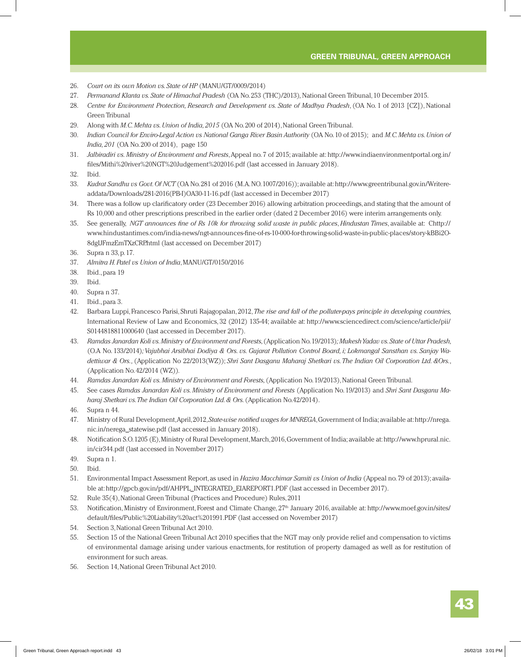- 26. *Court on its own Motion vs. State of HP* (MANU/GT/0009/2014)
- 27. *Permanand Klanta vs. State of Himachal Pradesh* (OA No. 253 (THC)/2013)*,* National Green Tribunal, 10 December 2015.
- 28. *Centre for Environment Protection, Research and Development vs. State of Madhya Pradesh*, (OA No. 1 of 2013 [CZ]), National Green Tribunal
- 29. Along with *M.C. Mehta vs. Union of India, 2015* (OA No. 200 of 2014), National Green Tribunal.
- 30. *Indian Council for Enviro-Legal Action vs National Ganga River Basin Authority* (OA No. 10 of 2015);and *M.C. Mehta vs. Union of India, 201* (OA No. 200 of 2014),page 150
- 31. *Jalbiradiri vs. Ministry of Environment and Forests*, Appeal no. 7 of 2015; available at: http://www.indiaenvironmentportal.org.in/ files/Mithi%20river%20NGT%20Judgement%202016.pdf (last accessed in January 2018).
- 32. Ibid.
- 33. *Kudrat Sandhu vs Govt. Of NCT* (OA No. 281 of 2016 (M.A. NO. 1007/2016)); available at: http://www.greentribunal.gov.in/Writereaddata/Downloads/281-2016(PB-I)OA30-11-16.pdf (last accessed in December 2017)
- 34. There was a follow up clarificatory order (23 December 2016) allowing arbitration proceedings, and stating that the amount of Rs 10,000 and other prescriptions prescribed in the earlier order (dated 2 December 2016) were interim arrangements only.
- 35. See generally, *NGT announces fine of Rs 10k for throwing solid waste in public places*, *Hindustan Times*, available at: Chttp:// www.hindustantimes.com/india-news/ngt-announces-fine-of-rs-10-000-for-throwing-solid-waste-in-public-places/story-kBBi2O-8dgIJFmzEmTXzCRP.html (last accessed on December 2017)
- 36. Supra n 33, p. 17.
- 37. *Almitra H. Patel vs Union of India*, MANU/GT/0150/2016
- 38. Ibid., para 19
- 39. Ibid.
- 40. Supra n 37.
- 41. Ibid., para 3.
- 42. Barbara Luppi, Francesco Parisi, Shruti Rajagopalan, 2012, *The rise and fall of the polluter-pays principle in developing countries,*  International Review of Law and Economics, 32 (2012) 135-44; available at: http://www.sciencedirect.com/science/article/pii/ S0144818811000640 (last accessed in December 2017).
- 43. *Ramdas Janardan Koli vs. Ministry of Environment and Forests,* (Application No. 19/2013)*; Mukesh Yadav vs. State of Uttar Pradesh,*  (O.A No. 133/2014)*; Vajubhai Arsibhai Dodiya & Ors. vs. Gujarat Pollution Control Board, i; Lokmangal Sansthan vs. Sanjay Wadettiwar & Ors.,* (Application No 22/2013(WZ)); *Shri Sant Dasganu Maharaj Shetkari vs. The Indian Oil Corporation Ltd. &Ors.,*  (Application No. 42/2014 (WZ))*.*
- 44. Ramdas Janardan Koli vs. Ministry of Environment and Forests, (Application No. 19/2013), National Green Tribunal.
- 45. See cases *Ramdas Janardan Koli vs. Ministry of Environment and Forests* (Application No. 19/2013) and *Shri Sant Dasganu Maharaj Shetkari vs. The Indian Oil Corporation Ltd. & Ors. (Application No.42/2014).*
- 46. Supra n 44.
- 47. Ministry of Rural Development, April, 2012, *State-wise notified wages for MNREGA*, Government of India; available at: http://nrega. nic.in/nerega\_statewise.pdf (last accessed in January 2018).
- 48. Notification S.O. 1205 (E), Ministry of Rural Development, March, 2016, Government of India; available at: http://www.hprural.nic. in/cir344.pdf (last accessed in November 2017)
- 49. Supra n 1.
- 50. Ibid.
- 51. Environmental Impact Assessment Report, as used in *Hazira Macchimar Samiti vs Union of India* (Appeal no. 79 of 2013); available at: http://gpcb.gov.in/pdf/AHPPL\_INTEGRATED\_EIAREPORT1.PDF (last accessed in December 2017).
- 52. Rule 35(4), National Green Tribunal (Practices and Procedure) Rules, 2011
- 53. Notification, Ministry of Environment, Forest and Climate Change, 27th January 2016, available at: http://www.moef.gov.in/sites/ default/files/Public%20Liability%20act%201991.PDF (last accessed on November 2017)
- 54. Section 3, National Green Tribunal Act 2010.
- 55. Section 15 of the National Green Tribunal Act 2010 specifies that the NGT may only provide relief and compensation to victims of environmental damage arising under various enactments, for restitution of property damaged as well as for restitution of environment for such areas.
- 56. Section 14, National Green Tribunal Act 2010.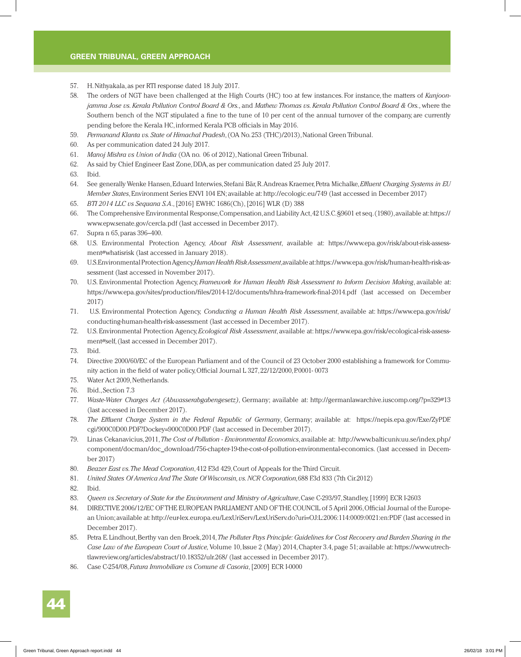- 57. H. Nithyakala, as per RTI response dated 18 July 2017.
- 58. The orders of NGT have been challenged at the High Courts (HC) too at few instances. For instance, the matters of *Kunjoonjamma Jose vs. Kerala Pollution Control Board & Ors.,* and *Mathew Thomas vs. Kerala Pollution Control Board & Ors.,* where the Southern bench of the NGT stipulated a fine to the tune of 10 per cent of the annual turnover of the company, are currently pending before the Kerala HC, informed Kerala PCB officials in May 2016.
- 59. *Permanand Klanta vs. State of Himachal Pradesh*, (OA No. 253 (THC)/2013), National Green Tribunal.
- 60. As per communication dated 24 July 2017.
- 61. *Manoj Mishra vs Union of India* (OA no. 06 of 2012), National Green Tribunal.
- 62. As said by Chief Engineer East Zone, DDA, as per communication dated 25 July 2017.
- 63. Ibid.
- 64. See generally Wenke Hansen, Eduard Interwies, Stefani Bär, R. Andreas Kraemer, Petra Michalke, *Effluent Charging Systems in EU Member States*, Environment Series ENVI 104 EN; available at: http://ecologic.eu/749 (last accessed in December 2017)
- 65. *BTI 2014 LLC vs Sequana S.A*., [2016] EWHC 1686(Ch), [2016] WLR (D) 388
- 66. The Comprehensive Environmental Response, Compensation, and Liability Act, 42 U.S.C. §9601 et seq. (1980), available at: https:// www.epw.senate.gov/cercla.pdf (last accessed in December 2017).
- 67. Supra n 65, paras 396–400.
- 68. U.S. Environmental Protection Agency, *About Risk Assessment*, available at: https://www.epa.gov/risk/about-risk-assessment#whatisrisk (last accessed in January 2018).
- 69. U.S. Environmental Protection Agency, *Human Health Risk Assessment*, available at: https://www.epa.gov/risk/human-health-risk-assessment (last accessed in November 2017).
- 70. U.S. Environmental Protection Agency, *Framework for Human Health Risk Assessment to Inform Decision Making*, available at: https://www.epa.gov/sites/production/files/2014-12/documents/hhra-framework-final-2014.pdf (last accessed on December 2017)
- 71. U.S. Environmental Protection Agency, *Conducting a Human Health Risk Assessment*, available at: https://www.epa.gov/risk/ conducting-human-health-risk-assessment (last accessed in December 2017).
- 72. U.S. Environmental Protection Agency, *Ecological Risk Assessment*, available at: https://www.epa.gov/risk/ecological-risk-assessment#self, (last accessed in December 2017).
- 73. Ibid.
- 74. Directive 2000/60/EC of the European Parliament and of the Council of 23 October 2000 establishing a framework for Community action in the field of water policy, Official Journal L 327, 22/12/2000, P.0001-0073
- 75. Water Act 2009, Netherlands.
- 76. Ibid., Section 7.3
- 77. *Waste-Water Charges Act (Abwasserabgabengesetz)*, Germany; available at: http://germanlawarchive.iuscomp.org/?p=329#13 (last accessed in December 2017).
- 78. *The Effluent Charge System in the Federal Republic of Germany*, Germany; available at: https://nepis.epa.gov/Exe/ZyPDF. cgi/900C0D00.PDF?Dockey=900C0D00.PDF (last accessed in December 2017).
- 79. Linas Cekanavicius, 2011, *The Cost of Pollution Environmental Economics*, available at: http://www.balticuniv.uu.se/index.php/ component/docman/doc\_download/756-chapter-19-the-cost-of-pollution-environmental-economics. (last accessed in December 2017)
- 80. *Beazer East vs. The Mead Corporation*, 412 F.3d 429, Court of Appeals for the Third Circuit.
- 81. *United States Of America And The State Of Wisconsin, vs. NCR Corporation,*688 F.3d 833 (7th Cir.2012)
- 82. Ibid.
- 83. *Queen vs Secretary of State for the Environment and Ministry of Agriculture*, Case C-293/97, Standley, [1999] ECR I-2603
- 84. DIRECTIVE 2006/12/EC OF THE EUROPEAN PARLIAMENT AND OF THE COUNCIL of 5 April 2006, Official Journal of the European Union; available at: http://eur-lex.europa.eu/LexUriServ/LexUriServ.do?uri=OJ:L:2006:114:0009:0021:en:PDF (last accessed in December 2017).
- 85. Petra E. Lindhout, Berthy van den Broek, 2014, *The Polluter Pays Principle: Guidelines for Cost Recovery and Burden Sharing in the Case Law of the European Court of Justice,* Volume 10, Issue 2 (May) 2014, Chapter 3.4, page 51; available at: https://www.utrechtlawreview.org/articles/abstract/10.18352/ulr.268/ (last accessed in December 2017).
- 86. Case C-254/08, *Futura Immobiliare vs Comune di Casoria*, [2009] ECR I-0000

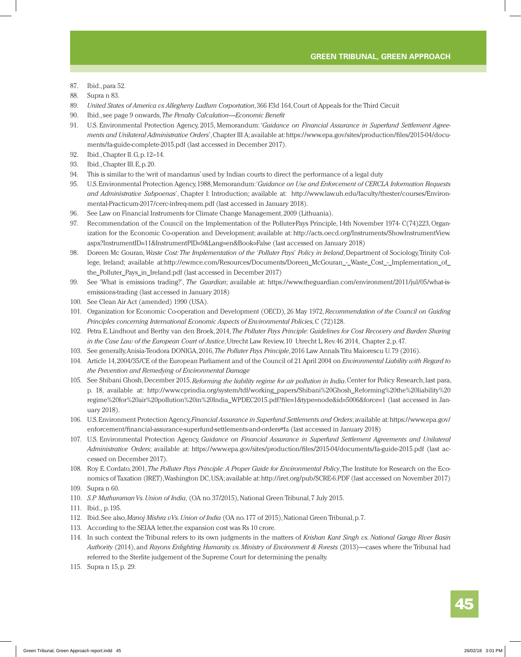- 87. Ibid., para 52.
- 88. Supra n 83.
- 89. *United States of America vs Allegheny Ludlum Corportation*, 366 F.3d 164, Court of Appeals for the Third Circuit
- 90. Ibid., see page 9 onwards, *The Penalty Calculation—Economic Benefit*
- 91. U.S. Environmental Protection Agency, 2015, Memorandum: '*Guidance on Financial Assurance in Superfund Settlement Agreements and Unilateral Administrative Orders*', Chapter III A; available at: https://www.epa.gov/sites/production/files/2015-04/documents/fa-guide-complete-2015.pdf (last accessed in December 2017).
- 92. Ibid., Chapter II. G, p. 12–14.
- 93. Ibid., Chapter III. E, p. 20.
- 94. This is similar to the 'writ of mandamus' used by Indian courts to direct the performance of a legal duty
- 95. U.S. Environmental Protection Agency, 1988, Memorandum: '*Guidance on Use and Enforcement of CERCLA Information Requests and Administrative Subpoenas*', Chapter I: Introduction; available at: http://www.law.uh.edu/faculty/thester/courses/Environmental-Practicum-2017/cerc-infreq-mem.pdf (last accessed in January 2018).
- 96. See Law on Financial Instruments for Climate Change Management, 2009 (Lithuania).
- 97. Recommendation of the Council on the Implementation of the Polluter-Pays Principle, 14th November 1974- C(74)223, Organization for the Economic Co-operation and Development; available at: http://acts.oecd.org/Instruments/ShowInstrumentView. aspx?InstrumentID=11&InstrumentPID=9&Lang=en&Book=False (last accessed on January 2018)
- 98. Doreen Mc Gouran, *Waste Cost: The Implementation of the* '*Polluter Pays*' *Policy in Ireland*, Department of Sociology, Trinity College, Ireland; available at:http://ewmce.com/Resources/Documents/Doreen\_McGouran\_-\_Waste\_Cost\_-\_Implementation\_of\_ the\_Polluter\_Pays\_in\_Ireland.pdf (last accessed in December 2017)
- 99. See 'What is emissions trading?', *The Guardian*; available at: https://www.theguardian.com/environment/2011/jul/05/what-isemissions-trading (last accessed in January 2018)
- 100. See Clean Air Act (amended) 1990 (USA).
- 101. Organization for Economic Co-operation and Development (OECD)*,* 26 May 1972, *Recommendation of the Council on Guiding Principles concerning International Economic Aspects of Environmental Policies,* C (72)128.
- 102. Petra E. Lindhout and Berthy van den Broek, 2014, *The Polluter Pays Principle: Guidelines for Cost Recovery and Burden Sharing in the Case Law of the European Court of Justice*, Utrecht Law Review, 10 Utrecht L. Rev. 46 2014, Chapter 2, p. 47.
- 103. See generally, Anisia-Teodora DONIGA, 2016, *The Polluter Pays Principle*, 2016 Law Annals Titu Maiorescu U. 79 (2016).
- 104. Article 14, 2004/35/CE of the European Parliament and of the Council of 21 April 2004 on *Environmental Liability with Regard to the Prevention and Remedying of Environmental Damage*
- 105. See Shibani Ghosh, December 2015,*Reforming the liability regime for air pollution in India*, Center for Policy Research, last para, p. 18, available at: http://www.cprindia.org/system/tdf/working\_papers/Shibani%20Ghosh\_Reforming%20the%20liability%20 regime%20for%20air%20pollution%20in%20India\_WPDEC2015.pdf?file=1&type=node&id=5006&force=1 (last accessed in January 2018).
- 106. U.S. Environment Protection Agency, *Financial Assurance in Superfund Settlements and Orders*; available at: https://www.epa.gov/ enforcement/financial-assurance-superfund-settlements-and-orders#fa (last accessed in January 2018)
- 107. U.S. Environmental Protection Agency, *Guidance on Financial Assurance in Superfund Settlement Agreements and Unilateral Administrative Orders*; available at: https://www.epa.gov/sites/production/files/2015-04/documents/fa-guide-2015.pdf (last accessed on December 2017).
- 108. Roy E. Cordato, 2001, *The Polluter Pays Principle: A Proper Guide for Environmental Policy*, The Institute for Research on the Economics of Taxation (IRET), Washington DC, USA; available at: http://iret.org/pub/SCRE-6.PDF (last accessed on November 2017)
- 109. Supra n 60.
- 110. *S.P. Muthuraman Vs. Union of India*, (OA no. 37/2015)*,* National Green Tribunal, 7 July 2015.
- 111. Ibid., p. 195.
- 112. Ibid. See also, *Manoj Mishra vVs. Union of India* (OA no. 177 of 2015), National Green Tribunal, p. 7.
- 113. According to the SEIAA letter, the expansion cost was Rs 10 crore.
- 114. In such context the Tribunal refers to its own judgments in the matters of *Krishan Kant Singh vs. National Ganga River Basin Authority* (2014), and *Rayons Enlighting Humanity. vs. Ministry of Environment & Forests* (2013)—cases where the Tribunal had referred to the Sterlite judgement of the Supreme Court for determining the penalty.
- 115. Supra n 15, p. 29.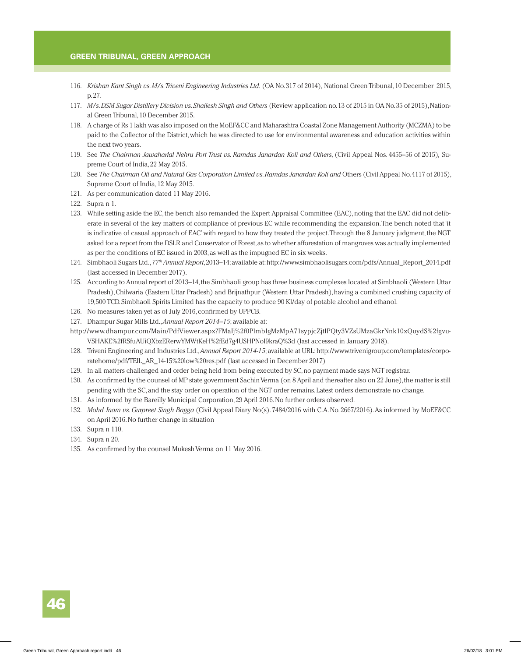#### **GREEN TRIBUNAL, GREEN APPROACH**

- 116. *Krishan Kant Singh vs. M/s. Triveni Engineering Industries Ltd.* (OA No. 317 of 2014), National Green Tribunal, 10 December 2015, p. 27*.*
- 117. *M/s. DSM Sugar Distillery Division vs. Shailesh Singh and Others* (Review application no. 13 of 2015 in OA No. 35 of 2015), National Green Tribunal, 10 December 2015.
- 118. A charge of Rs 1 lakh was also imposed on the MoEF&CC and Maharashtra Coastal Zone Management Authority (MCZMA) to be paid to the Collector of the District, which he was directed to use for environmental awareness and education activities within the next two years.
- 119. See *The Chairman Jawaharlal Nehru Port Trust vs. Ramdas Janardan Koli and Others,* (Civil Appeal Nos. 4455–56 of 2015)*,* Supreme Court of India, 22 May 2015.
- 120. See *The Chairman Oil and Natural Gas Corporation Limited vs. Ramdas Janardan Koli and* Others (Civil Appeal No. 4117 of 2015), Supreme Court of India, 12 May 2015.
- 121. As per communication dated 11 May 2016.
- 122. Supra n 1.
- 123. While setting aside the EC, the bench also remanded the Expert Appraisal Committee (EAC), noting that the EAC did not deliberate in several of the key matters of compliance of previous EC while recommending the expansion. The bench noted that 'it is indicative of casual approach of EAC' with regard to how they treated the project. Through the 8 January judgment, the NGT asked for a report from the DSLR and Conservator of Forest, as to whether afforestation of mangroves was actually implemented as per the conditions of EC issued in 2003, as well as the impugned EC in six weeks.
- 124. Simbhaoli Sugars Ltd.,*77th Annual Report*, 2013–14; available at: http://www.simbhaolisugars.com/pdfs/Annual\_Report\_2014.pdf (last accessed in December 2017).
- 125. According to Annual report of 2013–14, the Simbhaoli group has three business complexes located at Simbhaoli (Western Uttar Pradesh), Chilwaria (Eastern Uttar Pradesh) and Brijnathpur (Western Uttar Pradesh), having a combined crushing capacity of 19,500 TCD. Simbhaoli Spirits Limited has the capacity to produce 90 Kl/day of potable alcohol and ethanol.
- 126. No measures taken yet as of July 2016, confirmed by UPPCB.
- 127. Dhampur Sugar Mills Ltd., *Annual Report 2014–15*; available at:
- http://www.dhampur.com/Main/PdfViewer.aspx?FMaIj%2f0PlmbIgMzMpA71sypjcZjtlPQty3VZsUMzaGkrNnk10xQuydS%2fgvu-VSHAKE%2fRSfuAUiQXbzERerwYMWtKeH%2fEd7g4USHPNoI9kraQ%3d (last accessed in January 2018).
- 128. Triveni Engineering and Industries Ltd., *Annual Report 2014-15*; available at URL: http://www.trivenigroup.com/templates/corporatehome/pdf/TEIL\_AR\_14-15%20low%20res.pdf (last accessed in December 2017)
- 129. In all matters challenged and order being held from being executed by SC, no payment made says NGT registrar.
- 130. As confirmed by the counsel of MP state government Sachin Verma (on 8 April and thereafter also on 22 June), the matter is still pending with the SC, and the stay order on operation of the NGT order remains. Latest orders demonstrate no change.
- 131. As informed by the Bareilly Municipal Corporation, 29 April 2016. No further orders observed.
- 132. *Mohd. Inam vs. Gurpreet Singh Bagga* (Civil Appeal Diary No(s). 7484/2016 with C.A. No. 2667/2016). As informed by MoEF&CC on April 2016. No further change in situation
- 133. Supra n 110.
- 134. Supra n 20.
- 135. As confirmed by the counsel Mukesh Verma on 11 May 2016.